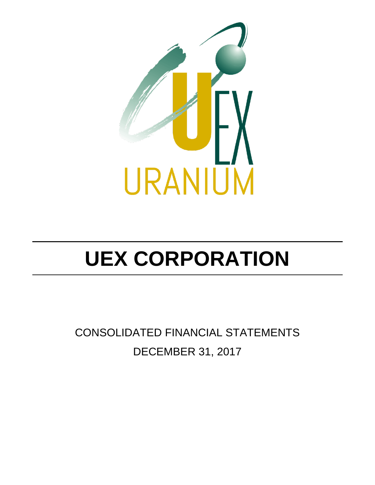

CONSOLIDATED FINANCIAL STATEMENTS DECEMBER 31, 2017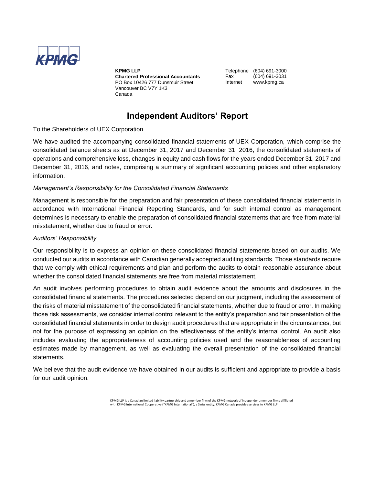

**KPMG LLP Chartered Professional Accountants** PO Box 10426 777 Dunsmuir Street Vancouver BC V7Y 1K3 Canada

Telephone (604) 691-3000 Fax (604) 691-3031 Internet www.kpmg.ca

### **Independent Auditors' Report**

To the Shareholders of UEX Corporation

We have audited the accompanying consolidated financial statements of UEX Corporation, which comprise the consolidated balance sheets as at December 31, 2017 and December 31, 2016, the consolidated statements of operations and comprehensive loss, changes in equity and cash flows for the years ended December 31, 2017 and December 31, 2016, and notes, comprising a summary of significant accounting policies and other explanatory information.

#### *Management's Responsibility for the Consolidated Financial Statements*

Management is responsible for the preparation and fair presentation of these consolidated financial statements in accordance with International Financial Reporting Standards, and for such internal control as management determines is necessary to enable the preparation of consolidated financial statements that are free from material misstatement, whether due to fraud or error.

#### *Auditors' Responsibility*

Our responsibility is to express an opinion on these consolidated financial statements based on our audits. We conducted our audits in accordance with Canadian generally accepted auditing standards. Those standards require that we comply with ethical requirements and plan and perform the audits to obtain reasonable assurance about whether the consolidated financial statements are free from material misstatement.

An audit involves performing procedures to obtain audit evidence about the amounts and disclosures in the consolidated financial statements. The procedures selected depend on our judgment, including the assessment of the risks of material misstatement of the consolidated financial statements, whether due to fraud or error. In making those risk assessments, we consider internal control relevant to the entity's preparation and fair presentation of the consolidated financial statements in order to design audit procedures that are appropriate in the circumstances, but not for the purpose of expressing an opinion on the effectiveness of the entity's internal control. An audit also includes evaluating the appropriateness of accounting policies used and the reasonableness of accounting estimates made by management, as well as evaluating the overall presentation of the consolidated financial statements.

We believe that the audit evidence we have obtained in our audits is sufficient and appropriate to provide a basis for our audit opinion.

> KPMG LLP is a Canadian limited liability partnership and a member firm of the KPMG network of independent member firms affiliated with KPMG International Cooperative ("KPMG International"), a Swiss entity. KPMG Canada provides services to KPMG LLP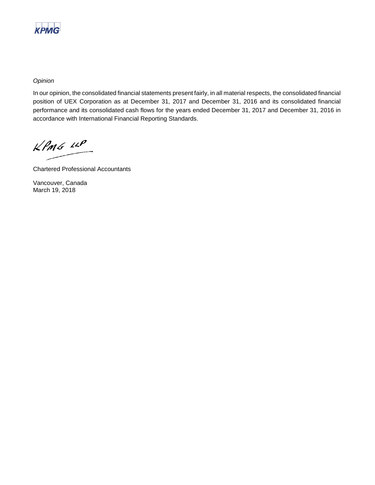

*Opinion*

In our opinion, the consolidated financial statements present fairly, in all material respects, the consolidated financial position of UEX Corporation as at December 31, 2017 and December 31, 2016 and its consolidated financial performance and its consolidated cash flows for the years ended December 31, 2017 and December 31, 2016 in accordance with International Financial Reporting Standards.

 $KPMS$   $\mu P$ 

Chartered Professional Accountants

Vancouver, Canada March 19, 2018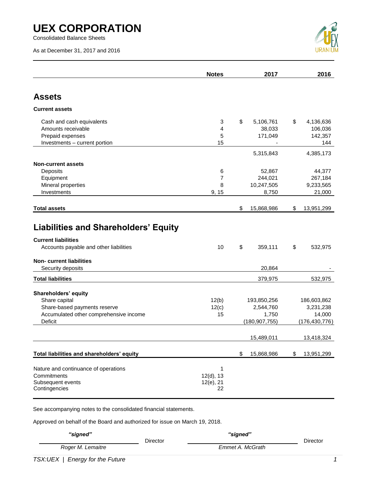Consolidated Balance Sheets

As at December 31, 2017 and 2016



|                                                                        | <b>Notes</b>      | 2017               | 2016                     |
|------------------------------------------------------------------------|-------------------|--------------------|--------------------------|
| <b>Assets</b>                                                          |                   |                    |                          |
| <b>Current assets</b>                                                  |                   |                    |                          |
|                                                                        |                   |                    |                          |
| Cash and cash equivalents                                              | 3                 | \$<br>5,106,761    | \$<br>4,136,636          |
| Amounts receivable                                                     | 4                 | 38,033             | 106,036                  |
| Prepaid expenses                                                       | 5                 | 171,049            | 142,357                  |
| Investments - current portion                                          | 15                |                    | 144                      |
|                                                                        |                   | 5,315,843          | 4,385,173                |
| <b>Non-current assets</b>                                              |                   |                    |                          |
| Deposits                                                               | 6                 | 52,867             | 44,377                   |
| Equipment                                                              | 7                 | 244,021            | 267,184                  |
| Mineral properties                                                     | 8                 | 10,247,505         | 9,233,565                |
| Investments                                                            | 9, 15             | 8,750              | 21,000                   |
| <b>Total assets</b>                                                    |                   | \$<br>15,868,986   | \$<br>13,951,299         |
|                                                                        |                   |                    |                          |
| <b>Liabilities and Shareholders' Equity</b>                            |                   |                    |                          |
| <b>Current liabilities</b>                                             |                   |                    |                          |
| Accounts payable and other liabilities                                 | 10                | \$<br>359,111      | \$<br>532,975            |
| <b>Non-current liabilities</b>                                         |                   |                    |                          |
| Security deposits                                                      |                   | 20,864             |                          |
| <b>Total liabilities</b>                                               |                   | 379,975            | 532,975                  |
|                                                                        |                   |                    |                          |
| Shareholders' equity                                                   |                   |                    |                          |
| Share capital                                                          | 12(b)             | 193,850,256        | 186,603,862<br>3,231,238 |
| Share-based payments reserve<br>Accumulated other comprehensive income | 12(c)<br>15       | 2,544,760<br>1,750 | 14,000                   |
| Deficit                                                                |                   | (180, 907, 755)    | (176, 430, 776)          |
|                                                                        |                   |                    |                          |
|                                                                        |                   | 15,489,011         | 13,418,324               |
| Total liabilities and shareholders' equity                             |                   | \$<br>15,868,986   | \$<br>13,951,299         |
|                                                                        |                   |                    |                          |
| Nature and continuance of operations<br>Commitments                    | 1<br>$12(d)$ , 13 |                    |                          |
| Subsequent events                                                      | $12(e)$ , 21      |                    |                          |
| Contingencies                                                          | 22                |                    |                          |

See accompanying notes to the consolidated financial statements.

Approved on behalf of the Board and authorized for issue on March 19, 2018.

| "signed"          | Director | "signed"         | Director |
|-------------------|----------|------------------|----------|
| Roger M. Lemaitre |          | Emmet A. McGrath |          |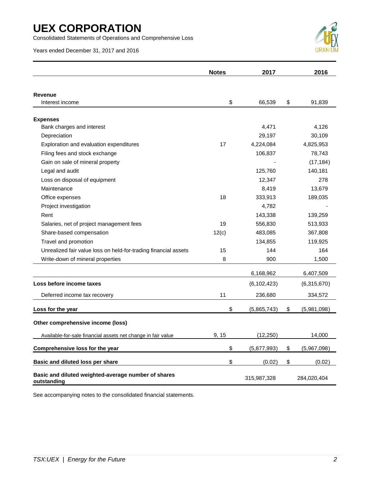Consolidated Statements of Operations and Comprehensive Loss

Years ended December 31, 2017 and 2016



|                                                                    | <b>Notes</b> | 2017          | 2016              |
|--------------------------------------------------------------------|--------------|---------------|-------------------|
|                                                                    |              |               |                   |
| <b>Revenue</b><br>Interest income                                  | \$           | 66,539        | \$<br>91,839      |
|                                                                    |              |               |                   |
| <b>Expenses</b>                                                    |              |               |                   |
| Bank charges and interest                                          |              | 4,471         | 4,126             |
| Depreciation                                                       |              | 29,197        | 30,109            |
| Exploration and evaluation expenditures                            | 17           | 4,224,084     | 4,825,953         |
| Filing fees and stock exchange                                     |              | 106,837       | 78,743            |
| Gain on sale of mineral property                                   |              |               | (17, 184)         |
| Legal and audit                                                    |              | 125,760       | 140,181           |
| Loss on disposal of equipment                                      |              | 12,347        | 278               |
| Maintenance                                                        |              | 8,419         | 13,679            |
| Office expenses                                                    | 18           | 333,913       | 189,035           |
| Project investigation                                              |              | 4,782         |                   |
| Rent                                                               |              | 143,338       | 139,259           |
| Salaries, net of project management fees                           | 19           | 556,830       | 513,933           |
| Share-based compensation                                           | 12(c)        | 483,085       | 367,808           |
| Travel and promotion                                               |              | 134,855       | 119,925           |
| Unrealized fair value loss on held-for-trading financial assets    | 15           | 144           | 164               |
| Write-down of mineral properties                                   | 8            | 900           | 1,500             |
|                                                                    |              | 6,168,962     | 6,407,509         |
| Loss before income taxes                                           |              | (6, 102, 423) | (6,315,670)       |
| Deferred income tax recovery                                       | 11           | 236,680       | 334,572           |
| Loss for the year                                                  | \$           | (5,865,743)   | \$<br>(5,981,098) |
| Other comprehensive income (loss)                                  |              |               |                   |
| Available-for-sale financial assets net change in fair value       | 9, 15        | (12,250)      | 14,000            |
| Comprehensive loss for the year                                    | \$           | (5,877,993)   | \$<br>(5,967,098) |
| Basic and diluted loss per share                                   | \$           | (0.02)        | \$<br>(0.02)      |
| Basic and diluted weighted-average number of shares<br>outstanding |              | 315,987,328   | 284,020,404       |

See accompanying notes to the consolidated financial statements.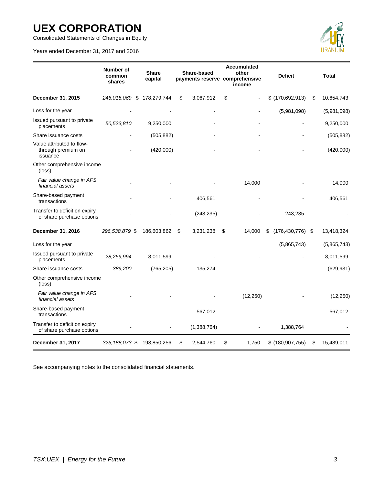Consolidated Statements of Changes in Equity

Years ended December 31, 2017 and 2016



|                                                             | <b>Number of</b><br>common<br>shares | <b>Share</b><br>capital | Share-based     | <b>Accumulated</b><br>other<br>payments reserve comprehensive<br>income | <b>Deficit</b>             | <b>Total</b>     |
|-------------------------------------------------------------|--------------------------------------|-------------------------|-----------------|-------------------------------------------------------------------------|----------------------------|------------------|
| December 31, 2015                                           | 246,015,069 \$                       | 178,279,744             | \$<br>3,067,912 | \$                                                                      | $$$ (170,692,913)          | \$<br>10,654,743 |
| Loss for the year                                           |                                      |                         |                 |                                                                         | (5,981,098)                | (5,981,098)      |
| Issued pursuant to private<br>placements                    | 50,523,810                           | 9,250,000               |                 |                                                                         |                            | 9,250,000        |
| Share issuance costs                                        |                                      | (505, 882)              |                 |                                                                         |                            | (505, 882)       |
| Value attributed to flow-<br>through premium on<br>issuance |                                      | (420,000)               |                 |                                                                         |                            | (420,000)        |
| Other comprehensive income<br>(loss)                        |                                      |                         |                 |                                                                         |                            |                  |
| Fair value change in AFS<br>financial assets                |                                      |                         |                 | 14,000                                                                  |                            | 14,000           |
| Share-based payment<br>transactions                         |                                      |                         | 406,561         |                                                                         |                            | 406,561          |
| Transfer to deficit on expiry<br>of share purchase options  |                                      |                         | (243, 235)      |                                                                         | 243,235                    |                  |
| December 31, 2016                                           | 296,538,879 \$                       | 186,603,862             | \$<br>3,231,238 | \$<br>14,000                                                            | $(176, 430, 776)$ \$<br>\$ | 13,418,324       |
| Loss for the year                                           |                                      |                         |                 |                                                                         | (5,865,743)                | (5,865,743)      |
| Issued pursuant to private<br>placements                    | 28,259,994                           | 8,011,599               |                 |                                                                         |                            | 8,011,599        |
| Share issuance costs                                        | 389,200                              | (765, 205)              | 135,274         |                                                                         |                            | (629, 931)       |
| Other comprehensive income<br>(loss)                        |                                      |                         |                 |                                                                         |                            |                  |
| Fair value change in AFS<br>financial assets                |                                      |                         |                 | (12, 250)                                                               |                            | (12, 250)        |
| Share-based payment<br>transactions                         |                                      |                         | 567,012         |                                                                         |                            | 567,012          |
| Transfer to deficit on expiry<br>of share purchase options  |                                      |                         | (1,388,764)     |                                                                         | 1,388,764                  |                  |
| December 31, 2017                                           | 325, 188, 073 \$                     | 193,850,256             | \$<br>2,544,760 | \$<br>1,750                                                             | \$ (180,907,755)           | \$<br>15,489,011 |

See accompanying notes to the consolidated financial statements.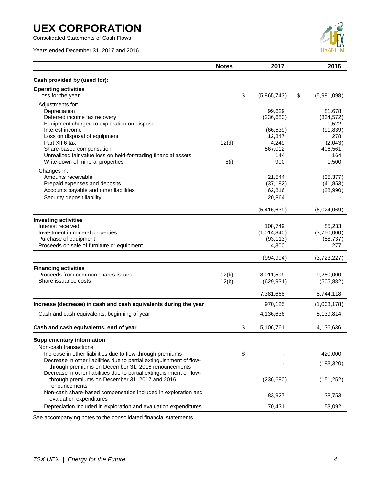Consolidated Statements of Cash Flows

Years ended December 31, 2017 and 2016



|                                                                                                                                                                                           | <b>Notes</b>   | 2017                                         | 2016                                              |
|-------------------------------------------------------------------------------------------------------------------------------------------------------------------------------------------|----------------|----------------------------------------------|---------------------------------------------------|
| Cash provided by (used for):                                                                                                                                                              |                |                                              |                                                   |
| <b>Operating activities</b><br>Loss for the year                                                                                                                                          |                | \$<br>(5,865,743)                            | \$<br>(5,981,098)                                 |
| Adjustments for:<br>Depreciation<br>Deferred income tax recovery<br>Equipment charged to exploration on disposal<br>Interest income<br>Loss on disposal of equipment                      |                | 99,629<br>(236, 680)<br>(66, 539)<br>12,347  | 81,678<br>(334, 572)<br>1,522<br>(91, 839)<br>278 |
| Part XII.6 tax<br>Share-based compensation<br>Unrealized fair value loss on held-for-trading financial assets<br>Write-down of mineral properties                                         | 12(d)<br>8(i)  | 4,249<br>567,012<br>144<br>900               | (2,043)<br>406,561<br>164<br>1,500                |
| Changes in:<br>Amounts receivable<br>Prepaid expenses and deposits<br>Accounts payable and other liabilities<br>Security deposit liability                                                |                | 21,544<br>(37, 182)<br>62,816<br>20,864      | (35, 377)<br>(41, 853)<br>(28,990)                |
|                                                                                                                                                                                           |                | (5,416,639)                                  | (6,024,069)                                       |
| <b>Investing activities</b><br>Interest received<br>Investment in mineral properties<br>Purchase of equipment<br>Proceeds on sale of furniture or equipment                               |                | 108,749<br>(1,014,840)<br>(93, 113)<br>4,300 | 85,233<br>(3,750,000)<br>(58, 737)<br>277         |
|                                                                                                                                                                                           |                | (994, 904)                                   | (3,723,227)                                       |
| <b>Financing activities</b><br>Proceeds from common shares issued<br>Share issuance costs                                                                                                 | 12(b)<br>12(b) | 8,011,599<br>(629, 931)                      | 9,250,000<br>(505, 882)                           |
|                                                                                                                                                                                           |                | 7,381,668                                    | 8,744,118                                         |
| Increase (decrease) in cash and cash equivalents during the year                                                                                                                          |                | 970,125                                      | (1,003,178)                                       |
| Cash and cash equivalents, beginning of year                                                                                                                                              |                | 4,136,636                                    | 5,139,814                                         |
| Cash and cash equivalents, end of year                                                                                                                                                    |                | \$<br>5,106,761                              | 4,136,636                                         |
| <b>Supplementary information</b><br>Non-cash transactions                                                                                                                                 |                |                                              |                                                   |
| Increase in other liabilities due to flow-through premiums<br>Decrease in other liabilities due to partial extinguishment of flow-<br>through premiums on December 31, 2016 renouncements |                | \$                                           | 420,000<br>(183, 320)                             |
| Decrease in other liabilities due to partial extinguishment of flow-<br>through premiums on December 31, 2017 and 2016<br>renouncements                                                   |                | (236, 680)                                   | (151, 252)                                        |
| Non-cash share-based compensation included in exploration and<br>evaluation expenditures                                                                                                  |                | 83,927                                       | 38,753                                            |
| Depreciation included in exploration and evaluation expenditures                                                                                                                          |                | 70,431                                       | 53,092                                            |

See accompanying notes to the consolidated financial statements.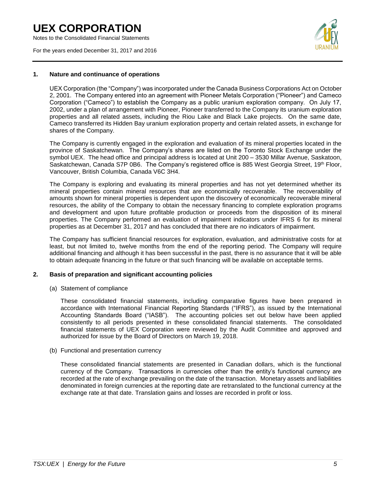Notes to the Consolidated Financial Statements

For the years ended December 31, 2017 and 2016



#### **1. Nature and continuance of operations**

UEX Corporation (the "Company") was incorporated under the Canada Business Corporations Act on October 2, 2001. The Company entered into an agreement with Pioneer Metals Corporation ("Pioneer") and Cameco Corporation ("Cameco") to establish the Company as a public uranium exploration company. On July 17, 2002, under a plan of arrangement with Pioneer, Pioneer transferred to the Company its uranium exploration properties and all related assets, including the Riou Lake and Black Lake projects. On the same date, Cameco transferred its Hidden Bay uranium exploration property and certain related assets, in exchange for shares of the Company.

The Company is currently engaged in the exploration and evaluation of its mineral properties located in the province of Saskatchewan. The Company's shares are listed on the Toronto Stock Exchange under the symbol UEX. The head office and principal address is located at Unit 200 – 3530 Millar Avenue, Saskatoon, Saskatchewan, Canada S7P 0B6. The Company's registered office is 885 West Georgia Street, 19<sup>th</sup> Floor, Vancouver, British Columbia, Canada V6C 3H4.

The Company is exploring and evaluating its mineral properties and has not yet determined whether its mineral properties contain mineral resources that are economically recoverable. The recoverability of amounts shown for mineral properties is dependent upon the discovery of economically recoverable mineral resources, the ability of the Company to obtain the necessary financing to complete exploration programs and development and upon future profitable production or proceeds from the disposition of its mineral properties. The Company performed an evaluation of impairment indicators under IFRS 6 for its mineral properties as at December 31, 2017 and has concluded that there are no indicators of impairment.

The Company has sufficient financial resources for exploration, evaluation, and administrative costs for at least, but not limited to, twelve months from the end of the reporting period. The Company will require additional financing and although it has been successful in the past, there is no assurance that it will be able to obtain adequate financing in the future or that such financing will be available on acceptable terms.

#### **2. Basis of preparation and significant accounting policies**

(a) Statement of compliance

These consolidated financial statements, including comparative figures have been prepared in accordance with International Financial Reporting Standards ("IFRS"), as issued by the International Accounting Standards Board ("IASB"). The accounting policies set out below have been applied consistently to all periods presented in these consolidated financial statements. The consolidated financial statements of UEX Corporation were reviewed by the Audit Committee and approved and authorized for issue by the Board of Directors on March 19, 2018.

(b) Functional and presentation currency

These consolidated financial statements are presented in Canadian dollars, which is the functional currency of the Company. Transactions in currencies other than the entity's functional currency are recorded at the rate of exchange prevailing on the date of the transaction. Monetary assets and liabilities denominated in foreign currencies at the reporting date are retranslated to the functional currency at the exchange rate at that date. Translation gains and losses are recorded in profit or loss.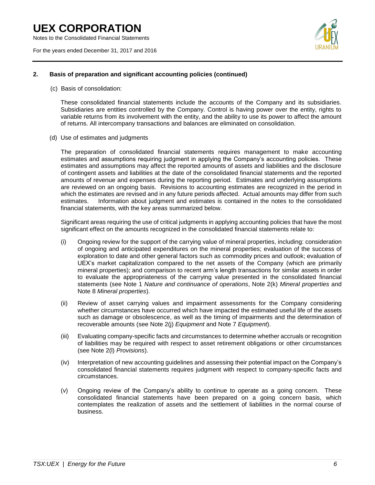Notes to the Consolidated Financial Statements

For the years ended December 31, 2017 and 2016



#### **2. Basis of preparation and significant accounting policies (continued)**

(c) Basis of consolidation:

These consolidated financial statements include the accounts of the Company and its subsidiaries. Subsidiaries are entities controlled by the Company. Control is having power over the entity, rights to variable returns from its involvement with the entity, and the ability to use its power to affect the amount of returns. All intercompany transactions and balances are eliminated on consolidation.

(d) Use of estimates and judgments

The preparation of consolidated financial statements requires management to make accounting estimates and assumptions requiring judgment in applying the Company's accounting policies. These estimates and assumptions may affect the reported amounts of assets and liabilities and the disclosure of contingent assets and liabilities at the date of the consolidated financial statements and the reported amounts of revenue and expenses during the reporting period. Estimates and underlying assumptions are reviewed on an ongoing basis. Revisions to accounting estimates are recognized in the period in which the estimates are revised and in any future periods affected. Actual amounts may differ from such estimates. Information about judgment and estimates is contained in the notes to the consolidated financial statements, with the key areas summarized below.

Significant areas requiring the use of critical judgments in applying accounting policies that have the most significant effect on the amounts recognized in the consolidated financial statements relate to:

- (i) Ongoing review for the support of the carrying value of mineral properties, including: consideration of ongoing and anticipated expenditures on the mineral properties; evaluation of the success of exploration to date and other general factors such as commodity prices and outlook; evaluation of UEX's market capitalization compared to the net assets of the Company (which are primarily mineral properties); and comparison to recent arm's length transactions for similar assets in order to evaluate the appropriateness of the carrying value presented in the consolidated financial statements (see Note 1 *Nature and continuance of operations*, Note 2(k) *Mineral properties* and Note 8 *Mineral properties*).
- (ii) Review of asset carrying values and impairment assessments for the Company considering whether circumstances have occurred which have impacted the estimated useful life of the assets such as damage or obsolescence, as well as the timing of impairments and the determination of recoverable amounts (see Note 2(j) *Equipment* and Note 7 *Equipment*).
- (iii) Evaluating company-specific facts and circumstances to determine whether accruals or recognition of liabilities may be required with respect to asset retirement obligations or other circumstances (see Note 2(l) *Provisions*).
- (iv) Interpretation of new accounting guidelines and assessing their potential impact on the Company's consolidated financial statements requires judgment with respect to company-specific facts and circumstances.
- (v) Ongoing review of the Company's ability to continue to operate as a going concern. These consolidated financial statements have been prepared on a going concern basis, which contemplates the realization of assets and the settlement of liabilities in the normal course of business.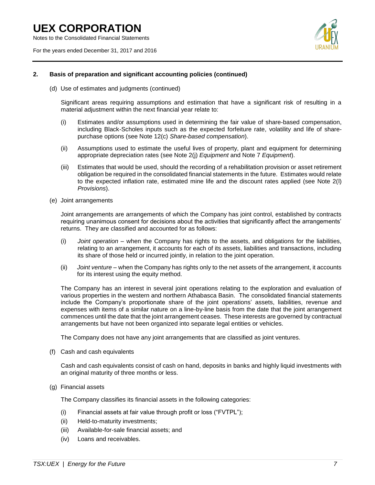Notes to the Consolidated Financial Statements

For the years ended December 31, 2017 and 2016



#### **2. Basis of preparation and significant accounting policies (continued)**

(d) Use of estimates and judgments (continued)

Significant areas requiring assumptions and estimation that have a significant risk of resulting in a material adjustment within the next financial year relate to:

- (i) Estimates and/or assumptions used in determining the fair value of share-based compensation, including Black-Scholes inputs such as the expected forfeiture rate, volatility and life of sharepurchase options (see Note 12(c) *Share-based compensation*).
- (ii) Assumptions used to estimate the useful lives of property, plant and equipment for determining appropriate depreciation rates (see Note 2(j) *Equipment* and Note 7 *Equipment*).
- (iii) Estimates that would be used, should the recording of a rehabilitation provision or asset retirement obligation be required in the consolidated financial statements in the future. Estimates would relate to the expected inflation rate, estimated mine life and the discount rates applied (see Note 2(l) *Provisions*).
- (e) Joint arrangements

Joint arrangements are arrangements of which the Company has joint control, established by contracts requiring unanimous consent for decisions about the activities that significantly affect the arrangements' returns. They are classified and accounted for as follows:

- (i) *Joint operation* when the Company has rights to the assets, and obligations for the liabilities, relating to an arrangement, it accounts for each of its assets, liabilities and transactions, including its share of those held or incurred jointly, in relation to the joint operation.
- (ii) *Joint venture* when the Company has rights only to the net assets of the arrangement, it accounts for its interest using the equity method.

The Company has an interest in several joint operations relating to the exploration and evaluation of various properties in the western and northern Athabasca Basin. The consolidated financial statements include the Company's proportionate share of the joint operations' assets, liabilities, revenue and expenses with items of a similar nature on a line-by-line basis from the date that the joint arrangement commences until the date that the joint arrangement ceases. These interests are governed by contractual arrangements but have not been organized into separate legal entities or vehicles.

The Company does not have any joint arrangements that are classified as joint ventures.

(f) Cash and cash equivalents

Cash and cash equivalents consist of cash on hand, deposits in banks and highly liquid investments with an original maturity of three months or less.

(g) Financial assets

The Company classifies its financial assets in the following categories:

- (i) Financial assets at fair value through profit or loss ("FVTPL");
- (ii) Held-to-maturity investments;
- (iii) Available-for-sale financial assets; and
- (iv) Loans and receivables.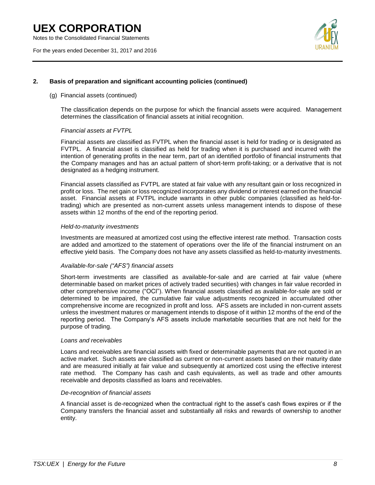Notes to the Consolidated Financial Statements

For the years ended December 31, 2017 and 2016



#### **2. Basis of preparation and significant accounting policies (continued)**

#### (g) Financial assets (continued)

The classification depends on the purpose for which the financial assets were acquired. Management determines the classification of financial assets at initial recognition.

#### *Financial assets at FVTPL*

Financial assets are classified as FVTPL when the financial asset is held for trading or is designated as FVTPL. A financial asset is classified as held for trading when it is purchased and incurred with the intention of generating profits in the near term, part of an identified portfolio of financial instruments that the Company manages and has an actual pattern of short-term profit-taking; or a derivative that is not designated as a hedging instrument.

Financial assets classified as FVTPL are stated at fair value with any resultant gain or loss recognized in profit or loss. The net gain or loss recognized incorporates any dividend or interest earned on the financial asset. Financial assets at FVTPL include warrants in other public companies (classified as held-fortrading) which are presented as non-current assets unless management intends to dispose of these assets within 12 months of the end of the reporting period.

#### *Held-to-maturity investments*

Investments are measured at amortized cost using the effective interest rate method. Transaction costs are added and amortized to the statement of operations over the life of the financial instrument on an effective yield basis. The Company does not have any assets classified as held-to-maturity investments.

#### *Available-for-sale ("AFS") financial assets*

Short-term investments are classified as available-for-sale and are carried at fair value (where determinable based on market prices of actively traded securities) with changes in fair value recorded in other comprehensive income ("OCI"). When financial assets classified as available-for-sale are sold or determined to be impaired, the cumulative fair value adjustments recognized in accumulated other comprehensive income are recognized in profit and loss. AFS assets are included in non-current assets unless the investment matures or management intends to dispose of it within 12 months of the end of the reporting period. The Company's AFS assets include marketable securities that are not held for the purpose of trading.

#### *Loans and receivables*

Loans and receivables are financial assets with fixed or determinable payments that are not quoted in an active market. Such assets are classified as current or non-current assets based on their maturity date and are measured initially at fair value and subsequently at amortized cost using the effective interest rate method. The Company has cash and cash equivalents, as well as trade and other amounts receivable and deposits classified as loans and receivables.

#### *De-recognition of financial assets*

A financial asset is de-recognized when the contractual right to the asset's cash flows expires or if the Company transfers the financial asset and substantially all risks and rewards of ownership to another entity.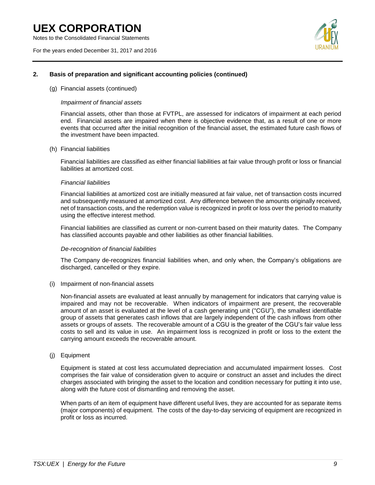Notes to the Consolidated Financial Statements

For the years ended December 31, 2017 and 2016



#### **2. Basis of preparation and significant accounting policies (continued)**

#### (g) Financial assets (continued)

#### *Impairment of financial assets*

Financial assets, other than those at FVTPL, are assessed for indicators of impairment at each period end. Financial assets are impaired when there is objective evidence that, as a result of one or more events that occurred after the initial recognition of the financial asset, the estimated future cash flows of the investment have been impacted.

#### (h) Financial liabilities

Financial liabilities are classified as either financial liabilities at fair value through profit or loss or financial liabilities at amortized cost.

#### *Financial liabilities*

Financial liabilities at amortized cost are initially measured at fair value, net of transaction costs incurred and subsequently measured at amortized cost. Any difference between the amounts originally received, net of transaction costs, and the redemption value is recognized in profit or loss over the period to maturity using the effective interest method.

Financial liabilities are classified as current or non-current based on their maturity dates. The Company has classified accounts payable and other liabilities as other financial liabilities.

#### *De-recognition of financial liabilities*

The Company de-recognizes financial liabilities when, and only when, the Company's obligations are discharged, cancelled or they expire.

#### (i) Impairment of non-financial assets

Non-financial assets are evaluated at least annually by management for indicators that carrying value is impaired and may not be recoverable. When indicators of impairment are present, the recoverable amount of an asset is evaluated at the level of a cash generating unit ("CGU"), the smallest identifiable group of assets that generates cash inflows that are largely independent of the cash inflows from other assets or groups of assets. The recoverable amount of a CGU is the greater of the CGU's fair value less costs to sell and its value in use. An impairment loss is recognized in profit or loss to the extent the carrying amount exceeds the recoverable amount.

#### (j) Equipment

Equipment is stated at cost less accumulated depreciation and accumulated impairment losses. Cost comprises the fair value of consideration given to acquire or construct an asset and includes the direct charges associated with bringing the asset to the location and condition necessary for putting it into use, along with the future cost of dismantling and removing the asset.

When parts of an item of equipment have different useful lives, they are accounted for as separate items (major components) of equipment. The costs of the day-to-day servicing of equipment are recognized in profit or loss as incurred.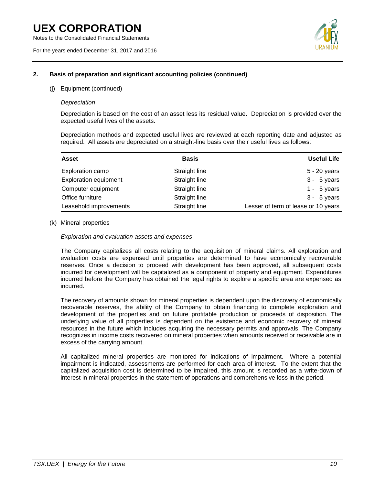Notes to the Consolidated Financial Statements

For the years ended December 31, 2017 and 2016



#### **2. Basis of preparation and significant accounting policies (continued)**

(j) Equipment (continued)

#### *Depreciation*

Depreciation is based on the cost of an asset less its residual value. Depreciation is provided over the expected useful lives of the assets.

Depreciation methods and expected useful lives are reviewed at each reporting date and adjusted as required. All assets are depreciated on a straight-line basis over their useful lives as follows:

| <b>Asset</b>                 | <b>Basis</b>  | <b>Useful Life</b>                  |
|------------------------------|---------------|-------------------------------------|
| Exploration camp             | Straight line | 5 - 20 years                        |
| <b>Exploration equipment</b> | Straight line | $3 - 5$ years                       |
| Computer equipment           | Straight line | 1 - $5$ years                       |
| Office furniture             | Straight line | $3 - 5$ years                       |
| Leasehold improvements       | Straight line | Lesser of term of lease or 10 years |

#### (k) Mineral properties

*Exploration and evaluation assets and expenses*

The Company capitalizes all costs relating to the acquisition of mineral claims. All exploration and evaluation costs are expensed until properties are determined to have economically recoverable reserves. Once a decision to proceed with development has been approved, all subsequent costs incurred for development will be capitalized as a component of property and equipment. Expenditures incurred before the Company has obtained the legal rights to explore a specific area are expensed as incurred.

The recovery of amounts shown for mineral properties is dependent upon the discovery of economically recoverable reserves, the ability of the Company to obtain financing to complete exploration and development of the properties and on future profitable production or proceeds of disposition. The underlying value of all properties is dependent on the existence and economic recovery of mineral resources in the future which includes acquiring the necessary permits and approvals. The Company recognizes in income costs recovered on mineral properties when amounts received or receivable are in excess of the carrying amount.

All capitalized mineral properties are monitored for indications of impairment. Where a potential impairment is indicated, assessments are performed for each area of interest. To the extent that the capitalized acquisition cost is determined to be impaired, this amount is recorded as a write-down of interest in mineral properties in the statement of operations and comprehensive loss in the period.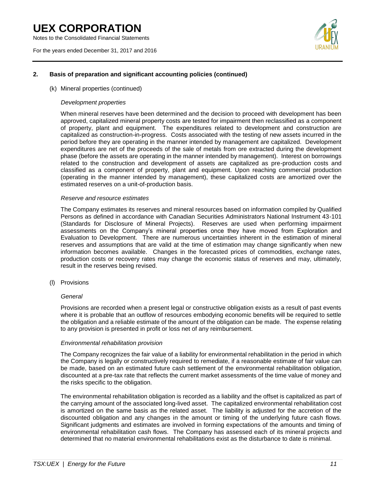Notes to the Consolidated Financial Statements

For the years ended December 31, 2017 and 2016



#### **2. Basis of preparation and significant accounting policies (continued)**

#### (k) Mineral properties (continued)

#### *Development properties*

When mineral reserves have been determined and the decision to proceed with development has been approved, capitalized mineral property costs are tested for impairment then reclassified as a component of property, plant and equipment. The expenditures related to development and construction are capitalized as construction-in-progress. Costs associated with the testing of new assets incurred in the period before they are operating in the manner intended by management are capitalized. Development expenditures are net of the proceeds of the sale of metals from ore extracted during the development phase (before the assets are operating in the manner intended by management). Interest on borrowings related to the construction and development of assets are capitalized as pre-production costs and classified as a component of property, plant and equipment. Upon reaching commercial production (operating in the manner intended by management), these capitalized costs are amortized over the estimated reserves on a unit-of-production basis.

#### *Reserve and resource estimates*

The Company estimates its reserves and mineral resources based on information compiled by Qualified Persons as defined in accordance with Canadian Securities Administrators National Instrument 43-101 (Standards for Disclosure of Mineral Projects). Reserves are used when performing impairment assessments on the Company's mineral properties once they have moved from Exploration and Evaluation to Development. There are numerous uncertainties inherent in the estimation of mineral reserves and assumptions that are valid at the time of estimation may change significantly when new information becomes available. Changes in the forecasted prices of commodities, exchange rates, production costs or recovery rates may change the economic status of reserves and may, ultimately, result in the reserves being revised.

(l) Provisions

#### *General*

Provisions are recorded when a present legal or constructive obligation exists as a result of past events where it is probable that an outflow of resources embodying economic benefits will be required to settle the obligation and a reliable estimate of the amount of the obligation can be made. The expense relating to any provision is presented in profit or loss net of any reimbursement.

#### *Environmental rehabilitation provision*

The Company recognizes the fair value of a liability for environmental rehabilitation in the period in which the Company is legally or constructively required to remediate, if a reasonable estimate of fair value can be made, based on an estimated future cash settlement of the environmental rehabilitation obligation, discounted at a pre-tax rate that reflects the current market assessments of the time value of money and the risks specific to the obligation.

The environmental rehabilitation obligation is recorded as a liability and the offset is capitalized as part of the carrying amount of the associated long-lived asset. The capitalized environmental rehabilitation cost is amortized on the same basis as the related asset. The liability is adjusted for the accretion of the discounted obligation and any changes in the amount or timing of the underlying future cash flows. Significant judgments and estimates are involved in forming expectations of the amounts and timing of environmental rehabilitation cash flows. The Company has assessed each of its mineral projects and determined that no material environmental rehabilitations exist as the disturbance to date is minimal.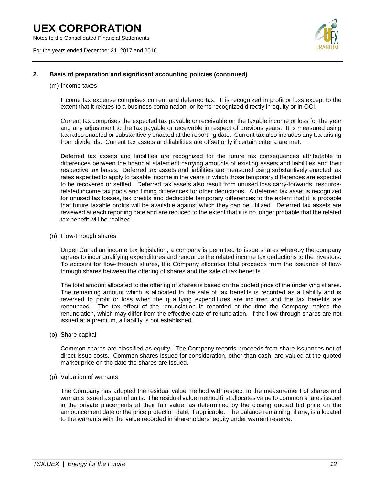Notes to the Consolidated Financial Statements

For the years ended December 31, 2017 and 2016



#### **2. Basis of preparation and significant accounting policies (continued)**

#### (m) Income taxes

Income tax expense comprises current and deferred tax. It is recognized in profit or loss except to the extent that it relates to a business combination, or items recognized directly in equity or in OCI.

Current tax comprises the expected tax payable or receivable on the taxable income or loss for the year and any adjustment to the tax payable or receivable in respect of previous years. It is measured using tax rates enacted or substantively enacted at the reporting date. Current tax also includes any tax arising from dividends. Current tax assets and liabilities are offset only if certain criteria are met.

Deferred tax assets and liabilities are recognized for the future tax consequences attributable to differences between the financial statement carrying amounts of existing assets and liabilities and their respective tax bases. Deferred tax assets and liabilities are measured using substantively enacted tax rates expected to apply to taxable income in the years in which those temporary differences are expected to be recovered or settled. Deferred tax assets also result from unused loss carry-forwards, resourcerelated income tax pools and timing differences for other deductions. A deferred tax asset is recognized for unused tax losses, tax credits and deductible temporary differences to the extent that it is probable that future taxable profits will be available against which they can be utilized. Deferred tax assets are reviewed at each reporting date and are reduced to the extent that it is no longer probable that the related tax benefit will be realized.

(n) Flow-through shares

Under Canadian income tax legislation, a company is permitted to issue shares whereby the company agrees to incur qualifying expenditures and renounce the related income tax deductions to the investors. To account for flow-through shares, the Company allocates total proceeds from the issuance of flowthrough shares between the offering of shares and the sale of tax benefits.

The total amount allocated to the offering of shares is based on the quoted price of the underlying shares. The remaining amount which is allocated to the sale of tax benefits is recorded as a liability and is reversed to profit or loss when the qualifying expenditures are incurred and the tax benefits are renounced. The tax effect of the renunciation is recorded at the time the Company makes the renunciation, which may differ from the effective date of renunciation. If the flow-through shares are not issued at a premium, a liability is not established.

(o) Share capital

Common shares are classified as equity. The Company records proceeds from share issuances net of direct issue costs. Common shares issued for consideration, other than cash, are valued at the quoted market price on the date the shares are issued.

(p) Valuation of warrants

The Company has adopted the residual value method with respect to the measurement of shares and warrants issued as part of units. The residual value method first allocates value to common shares issued in the private placements at their fair value, as determined by the closing quoted bid price on the announcement date or the price protection date, if applicable. The balance remaining, if any, is allocated to the warrants with the value recorded in shareholders' equity under warrant reserve.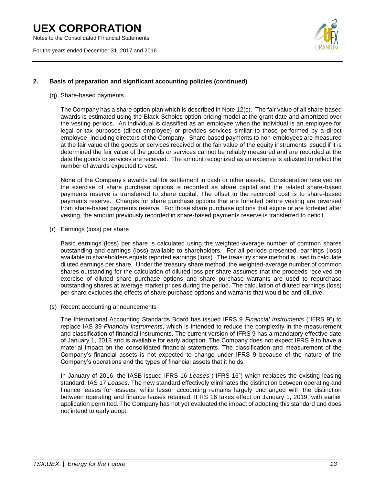Notes to the Consolidated Financial Statements

For the years ended December 31, 2017 and 2016



#### **2. Basis of preparation and significant accounting policies (continued)**

#### (q) Share-based payments

The Company has a share option plan which is described in Note 12(c). The fair value of all share-based awards is estimated using the Black-Scholes option-pricing model at the grant date and amortized over the vesting periods. An individual is classified as an employee when the individual is an employee for legal or tax purposes (direct employee) or provides services similar to those performed by a direct employee, including directors of the Company. Share-based payments to non-employees are measured at the fair value of the goods or services received or the fair value of the equity instruments issued if it is determined the fair value of the goods or services cannot be reliably measured and are recorded at the date the goods or services are received. The amount recognized as an expense is adjusted to reflect the number of awards expected to vest.

None of the Company's awards call for settlement in cash or other assets. Consideration received on the exercise of share purchase options is recorded as share capital and the related share-based payments reserve is transferred to share capital. The offset to the recorded cost is to share-based payments reserve. Charges for share purchase options that are forfeited before vesting are reversed from share-based payments reserve. For those share purchase options that expire or are forfeited after vesting, the amount previously recorded in share-based payments reserve is transferred to deficit.

(r) Earnings (loss) per share

Basic earnings (loss) per share is calculated using the weighted-average number of common shares outstanding and earnings (loss) available to shareholders. For all periods presented, earnings (loss) available to shareholders equals reported earnings (loss). The treasury share method is used to calculate diluted earnings per share. Under the treasury share method, the weighted-average number of common shares outstanding for the calculation of diluted loss per share assumes that the proceeds received on exercise of diluted share purchase options and share purchase warrants are used to repurchase outstanding shares at average market prices during the period. The calculation of diluted earnings (loss) per share excludes the effects of share purchase options and warrants that would be anti-dilutive.

(s) Recent accounting announcements

The International Accounting Standards Board has issued IFRS 9 *Financial Instruments* ("IFRS 9") to replace IAS 39 *Financial Instruments*, which is intended to reduce the complexity in the measurement and classification of financial instruments. The current version of IFRS 9 has a mandatory effective date of January 1, 2018 and is available for early adoption. The Company does not expect IFRS 9 to have a material impact on the consolidated financial statements. The classification and measurement of the Company's financial assets is not expected to change under IFRS 9 because of the nature of the Company's operations and the types of financial assets that it holds.

In January of 2016, the IASB issued IFRS 16 *Leases* ("IFRS 16") which replaces the existing leasing standard, IAS 17 *Leases*. The new standard effectively eliminates the distinction between operating and finance leases for lessees, while lessor accounting remains largely unchanged with the distinction between operating and finance leases retained. IFRS 16 takes effect on January 1, 2019, with earlier application permitted. The Company has not yet evaluated the impact of adopting this standard and does not intend to early adopt.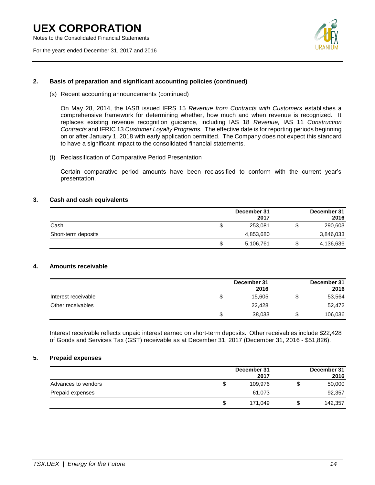Notes to the Consolidated Financial Statements

For the years ended December 31, 2017 and 2016



#### **2. Basis of preparation and significant accounting policies (continued)**

(s) Recent accounting announcements (continued)

On May 28, 2014, the IASB issued IFRS 15 *Revenue from Contracts with Customers* establishes a comprehensive framework for determining whether, how much and when revenue is recognized. It replaces existing revenue recognition guidance, including IAS 18 *Revenue,* IAS 11 *Construction Contracts* and IFRIC 13 *Customer Loyalty Programs.* The effective date is for reporting periods beginning on or after January 1, 2018 with early application permitted. The Company does not expect this standard to have a significant impact to the consolidated financial statements.

(t) Reclassification of Comparative Period Presentation

Certain comparative period amounts have been reclassified to conform with the current year's presentation.

#### **3. Cash and cash equivalents**

|                     |    | December 31 | December 31     |
|---------------------|----|-------------|-----------------|
|                     |    | 2017        | 2016            |
| Cash                | S  | 253,081     | \$<br>290,603   |
| Short-term deposits |    | 4,853,680   | 3,846,033       |
|                     | \$ | 5,106,761   | \$<br>4,136,636 |

#### **4. Amounts receivable**

|                     |    | December 31<br>2016 | December 31<br>2016 |
|---------------------|----|---------------------|---------------------|
| Interest receivable | J. | 15.605              | 53,564              |
| Other receivables   |    | 22.428              | 52,472              |
|                     | S  | 38,033              | 106,036             |

Interest receivable reflects unpaid interest earned on short-term deposits. Other receivables include \$22,428 of Goods and Services Tax (GST) receivable as at December 31, 2017 (December 31, 2016 - \$51,826).

#### **5. Prepaid expenses**

|                     | December 31<br>2017 | December 31<br>2016 |
|---------------------|---------------------|---------------------|
| Advances to vendors | \$<br>109.976       | 50,000              |
| Prepaid expenses    | 61.073              | 92,357              |
|                     | \$<br>171.049       | 142,357             |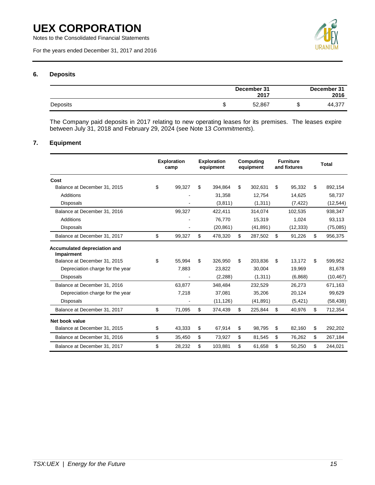Notes to the Consolidated Financial Statements

For the years ended December 31, 2017 and 2016



#### **6. Deposits**

|          |   | December 31<br>2017 |   | December 31<br>2016 |
|----------|---|---------------------|---|---------------------|
| Deposits | ง | 52,867              | ◡ | 44,377              |

The Company paid deposits in 2017 relating to new operating leases for its premises. The leases expire between July 31, 2018 and February 29, 2024 (see Note 13 *Commitments*).

#### **7. Equipment**

|                                            | <b>Exploration</b><br>camp | <b>Exploration</b><br>equipment | Computing<br>equipment |           | <b>Furniture</b><br>and fixtures |           | <b>Total</b>  |
|--------------------------------------------|----------------------------|---------------------------------|------------------------|-----------|----------------------------------|-----------|---------------|
| Cost                                       |                            |                                 |                        |           |                                  |           |               |
| Balance at December 31, 2015               | \$<br>99.327               | \$<br>394.864                   | \$                     | 302.631   | \$                               | 95.332    | \$<br>892,154 |
| Additions                                  |                            | 31,358                          |                        | 12,754    |                                  | 14,625    | 58,737        |
| <b>Disposals</b>                           |                            | (3,811)                         |                        | (1,311)   |                                  | (7, 422)  | (12, 544)     |
| Balance at December 31, 2016               | 99,327                     | 422,411                         |                        | 314,074   |                                  | 102,535   | 938,347       |
| Additions                                  |                            | 76,770                          |                        | 15,319    |                                  | 1,024     | 93,113        |
| <b>Disposals</b>                           |                            | (20, 861)                       |                        | (41, 891) |                                  | (12, 333) | (75,085)      |
| Balance at December 31, 2017               | \$<br>99,327               | \$<br>478,320                   | \$                     | 287,502   | \$                               | 91,226    | \$<br>956,375 |
| Accumulated depreciation and<br>Impairment |                            |                                 |                        |           |                                  |           |               |
| Balance at December 31, 2015               | \$<br>55.994               | \$<br>326,950                   | \$                     | 203,836   | \$                               | 13,172    | \$<br>599,952 |
| Depreciation charge for the year           | 7,883                      | 23.822                          |                        | 30,004    |                                  | 19,969    | 81,678        |
| <b>Disposals</b>                           |                            | (2,288)                         |                        | (1,311)   |                                  | (6,868)   | (10, 467)     |
| Balance at December 31, 2016               | 63.877                     | 348,484                         |                        | 232,529   |                                  | 26.273    | 671,163       |
| Depreciation charge for the year           | 7,218                      | 37.081                          |                        | 35,206    |                                  | 20,124    | 99,629        |
| <b>Disposals</b>                           |                            | (11, 126)                       |                        | (41, 891) |                                  | (5, 421)  | (58, 438)     |
| Balance at December 31, 2017               | \$<br>71,095               | \$<br>374,439                   | \$                     | 225,844   | \$                               | 40,976    | \$<br>712,354 |
| Net book value                             |                            |                                 |                        |           |                                  |           |               |
| Balance at December 31, 2015               | \$<br>43,333               | \$<br>67,914                    | \$                     | 98,795    | \$                               | 82,160    | \$<br>292,202 |
| Balance at December 31, 2016               | \$<br>35,450               | \$<br>73,927                    | \$                     | 81,545    | \$                               | 76,262    | \$<br>267,184 |
| Balance at December 31, 2017               | \$<br>28,232               | \$<br>103,881                   | \$                     | 61,658    | \$                               | 50,250    | \$<br>244,021 |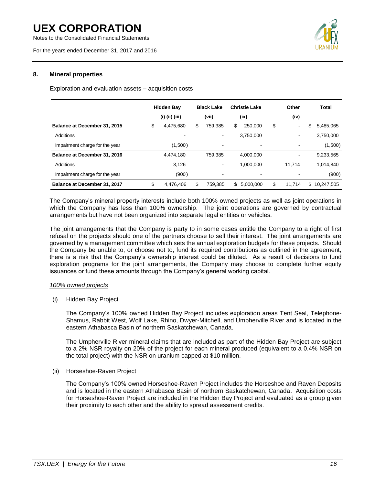Notes to the Consolidated Financial Statements

For the years ended December 31, 2017 and 2016



#### **8. Mineral properties**

Exploration and evaluation assets – acquisition costs

|                                     | <b>Hidden Bay</b> |     | <b>Black Lake</b>        |    | <b>Christie Lake</b> |    | Other  |    | <b>Total</b> |
|-------------------------------------|-------------------|-----|--------------------------|----|----------------------|----|--------|----|--------------|
|                                     | (i) (ii) (iii)    |     | (vii)                    |    | (ix)                 |    | (iv)   |    |              |
| <b>Balance at December 31, 2015</b> | \$<br>4,475,680   | \$  | 759.385                  | \$ | 250,000              | \$ | $\sim$ | \$ | 5,485,065    |
| Additions                           | ۰                 |     | $\blacksquare$           |    | 3.750.000            |    | ۰      |    | 3.750.000    |
| Impairment charge for the year      | (1,500)           |     | ٠                        |    |                      |    |        |    | (1,500)      |
| Balance at December 31, 2016        | 4,474,180         |     | 759.385                  |    | 4.000.000            |    | -      |    | 9,233,565    |
| Additions                           | 3,126             |     | ٠                        |    | 1.000.000            |    | 11.714 |    | 1,014,840    |
| Impairment charge for the year      | (900)             |     | $\overline{\phantom{a}}$ |    |                      |    |        |    | (900)        |
| Balance at December 31, 2017        | \$<br>4,476,406   | \$. | 759.385                  | \$ | 5.000.000            | S  | 11.714 | \$ | 10.247.505   |

The Company's mineral property interests include both 100% owned projects as well as joint operations in which the Company has less than 100% ownership. The joint operations are governed by contractual arrangements but have not been organized into separate legal entities or vehicles.

The joint arrangements that the Company is party to in some cases entitle the Company to a right of first refusal on the projects should one of the partners choose to sell their interest. The joint arrangements are governed by a management committee which sets the annual exploration budgets for these projects. Should the Company be unable to, or choose not to, fund its required contributions as outlined in the agreement, there is a risk that the Company's ownership interest could be diluted. As a result of decisions to fund exploration programs for the joint arrangements, the Company may choose to complete further equity issuances or fund these amounts through the Company's general working capital.

#### *100% owned projects*

(i) Hidden Bay Project

The Company's 100% owned Hidden Bay Project includes exploration areas Tent Seal, Telephone-Shamus, Rabbit West, Wolf Lake, Rhino, Dwyer-Mitchell, and Umpherville River and is located in the eastern Athabasca Basin of northern Saskatchewan, Canada.

The Umpherville River mineral claims that are included as part of the Hidden Bay Project are subject to a 2% NSR royalty on 20% of the project for each mineral produced (equivalent to a 0.4% NSR on the total project) with the NSR on uranium capped at \$10 million.

#### (ii) Horseshoe-Raven Project

The Company's 100% owned Horseshoe-Raven Project includes the Horseshoe and Raven Deposits and is located in the eastern Athabasca Basin of northern Saskatchewan, Canada. Acquisition costs for Horseshoe-Raven Project are included in the Hidden Bay Project and evaluated as a group given their proximity to each other and the ability to spread assessment credits.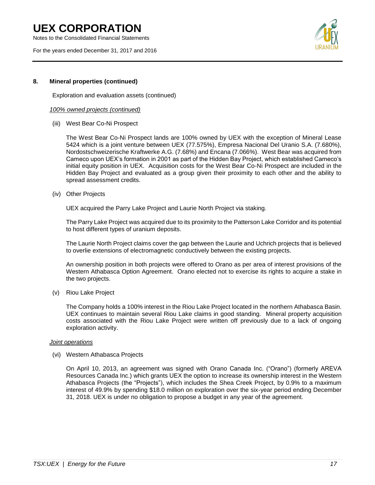Notes to the Consolidated Financial Statements

For the years ended December 31, 2017 and 2016



#### **8. Mineral properties (continued)**

Exploration and evaluation assets (continued)

#### *100% owned projects (continued)*

(iii) West Bear Co-Ni Prospect

The West Bear Co-Ni Prospect lands are 100% owned by UEX with the exception of Mineral Lease 5424 which is a joint venture between UEX (77.575%), Empresa Nacional Del Uranio S.A. (7.680%), Nordostschweizerische Kraftwerke A.G. (7.68%) and Encana (7.066%). West Bear was acquired from Cameco upon UEX's formation in 2001 as part of the Hidden Bay Project, which established Cameco's initial equity position in UEX. Acquisition costs for the West Bear Co-Ni Prospect are included in the Hidden Bay Project and evaluated as a group given their proximity to each other and the ability to spread assessment credits.

(iv) Other Projects

UEX acquired the Parry Lake Project and Laurie North Project via staking.

The Parry Lake Project was acquired due to its proximity to the Patterson Lake Corridor and its potential to host different types of uranium deposits.

The Laurie North Project claims cover the gap between the Laurie and Uchrich projects that is believed to overlie extensions of electromagnetic conductively between the existing projects.

An ownership position in both projects were offered to Orano as per area of interest provisions of the Western Athabasca Option Agreement. Orano elected not to exercise its rights to acquire a stake in the two projects.

(v) Riou Lake Project

The Company holds a 100% interest in the Riou Lake Project located in the northern Athabasca Basin. UEX continues to maintain several Riou Lake claims in good standing. Mineral property acquisition costs associated with the Riou Lake Project were written off previously due to a lack of ongoing exploration activity.

#### *Joint operations*

(vi) Western Athabasca Projects

On April 10, 2013, an agreement was signed with Orano Canada Inc. ("Orano") (formerly AREVA Resources Canada Inc.) which grants UEX the option to increase its ownership interest in the Western Athabasca Projects (the "Projects"), which includes the Shea Creek Project, by 0.9% to a maximum interest of 49.9% by spending \$18.0 million on exploration over the six-year period ending December 31, 2018. UEX is under no obligation to propose a budget in any year of the agreement.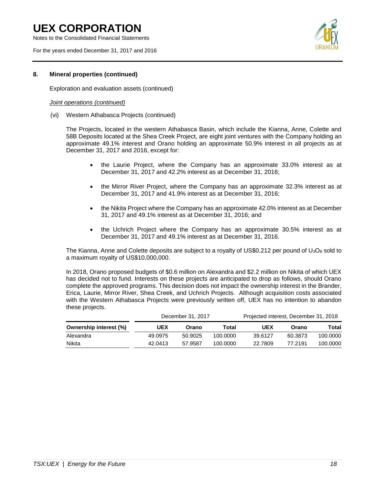Notes to the Consolidated Financial Statements

For the years ended December 31, 2017 and 2016



#### **8. Mineral properties (continued)**

Exploration and evaluation assets (continued)

#### *Joint operations (continued)*

(vi) Western Athabasca Projects (continued)

The Projects, located in the western Athabasca Basin, which include the Kianna, Anne, Colette and 58B Deposits located at the Shea Creek Project, are eight joint ventures with the Company holding an approximate 49.1% interest and Orano holding an approximate 50.9% interest in all projects as at December 31, 2017 and 2016, except for:

- the Laurie Project, where the Company has an approximate 33.0% interest as at December 31, 2017 and 42.2% interest as at December 31, 2016;
- the Mirror River Project, where the Company has an approximate 32.3% interest as at December 31, 2017 and 41.9% interest as at December 31, 2016;
- the Nikita Project where the Company has an approximate 42.0% interest as at December 31, 2017 and 49.1% interest as at December 31, 2016; and
- the Uchrich Project where the Company has an approximate 30.5% interest as at December 31, 2017 and 49.1% interest as at December 31, 2016.

The Kianna, Anne and Colette deposits are subject to a royalty of US\$0.212 per pound of  $U_3O_8$  sold to a maximum royalty of US\$10,000,000.

In 2018, Orano proposed budgets of \$0.6 million on Alexandra and \$2.2 million on Nikita of which UEX has decided not to fund. Interests on these projects are anticipated to drop as follows, should Orano complete the approved programs. This decision does not impact the ownership interest in the Brander, Erica, Laurie, Mirror River, Shea Creek, and Uchrich Projects. Although acquisition costs associated with the Western Athabasca Projects were previously written off, UEX has no intention to abandon these projects.

|                        |         | December 31, 2017 |          | Projected interest, December 31, 2018 |         |          |
|------------------------|---------|-------------------|----------|---------------------------------------|---------|----------|
| Ownership interest (%) | UEX     | Orano             | Total    | <b>UEX</b>                            | Orano   | Total    |
| Alexandra              | 49.0975 | 50.9025           | 100.0000 | 39.6127                               | 60.3873 | 100.0000 |
| Nikita                 | 42.0413 | 57.9587           | 100.0000 | 22.7809                               | 77.2191 | 100.0000 |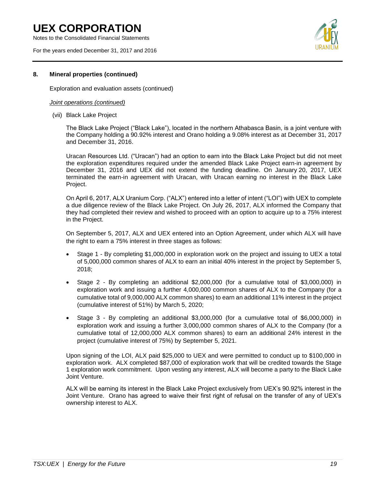Notes to the Consolidated Financial Statements

For the years ended December 31, 2017 and 2016



#### **8. Mineral properties (continued)**

Exploration and evaluation assets (continued)

#### *Joint operations (continued)*

(vii) Black Lake Project

The Black Lake Project ("Black Lake"), located in the northern Athabasca Basin, is a joint venture with the Company holding a 90.92% interest and Orano holding a 9.08% interest as at December 31, 2017 and December 31, 2016.

Uracan Resources Ltd. ("Uracan") had an option to earn into the Black Lake Project but did not meet the exploration expenditures required under the amended Black Lake Project earn-in agreement by December 31, 2016 and UEX did not extend the funding deadline. On January 20, 2017, UEX terminated the earn-in agreement with Uracan, with Uracan earning no interest in the Black Lake Project.

On April 6, 2017, ALX Uranium Corp. ("ALX") entered into a letter of intent ("LOI") with UEX to complete a due diligence review of the Black Lake Project. On July 26, 2017, ALX informed the Company that they had completed their review and wished to proceed with an option to acquire up to a 75% interest in the Project.

On September 5, 2017, ALX and UEX entered into an Option Agreement, under which ALX will have the right to earn a 75% interest in three stages as follows:

- Stage 1 By completing \$1,000,000 in exploration work on the project and issuing to UEX a total of 5,000,000 common shares of ALX to earn an initial 40% interest in the project by September 5, 2018;
- Stage 2 By completing an additional \$2,000,000 (for a cumulative total of \$3,000,000) in exploration work and issuing a further 4,000,000 common shares of ALX to the Company (for a cumulative total of 9,000,000 ALX common shares) to earn an additional 11% interest in the project (cumulative interest of 51%) by March 5, 2020;
- Stage 3 By completing an additional \$3,000,000 (for a cumulative total of \$6,000,000) in exploration work and issuing a further 3,000,000 common shares of ALX to the Company (for a cumulative total of 12,000,000 ALX common shares) to earn an additional 24% interest in the project (cumulative interest of 75%) by September 5, 2021.

Upon signing of the LOI, ALX paid \$25,000 to UEX and were permitted to conduct up to \$100,000 in exploration work. ALX completed \$87,000 of exploration work that will be credited towards the Stage 1 exploration work commitment. Upon vesting any interest, ALX will become a party to the Black Lake Joint Venture.

ALX will be earning its interest in the Black Lake Project exclusively from UEX's 90.92% interest in the Joint Venture. Orano has agreed to waive their first right of refusal on the transfer of any of UEX's ownership interest to ALX.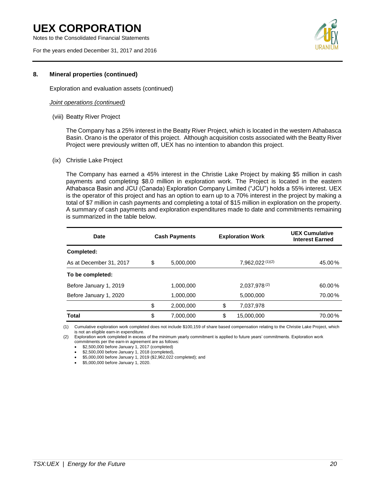Notes to the Consolidated Financial Statements

For the years ended December 31, 2017 and 2016



#### **8. Mineral properties (continued)**

Exploration and evaluation assets (continued)

#### *Joint operations (continued)*

(viii) Beatty River Project

The Company has a 25% interest in the Beatty River Project, which is located in the western Athabasca Basin. Orano is the operator of this project. Although acquisition costs associated with the Beatty River Project were previously written off, UEX has no intention to abandon this project.

#### (ix) Christie Lake Project

The Company has earned a 45% interest in the Christie Lake Project by making \$5 million in cash payments and completing \$8.0 million in exploration work. The Project is located in the eastern Athabasca Basin and JCU (Canada) Exploration Company Limited ("JCU") holds a 55% interest. UEX is the operator of this project and has an option to earn up to a 70% interest in the project by making a total of \$7 million in cash payments and completing a total of \$15 million in exploration on the property. A summary of cash payments and exploration expenditures made to date and commitments remaining is summarized in the table below.

| Date                    | <b>Cash Payments</b> |                   | <b>Exploration Work</b> | <b>UEX Cumulative</b><br><b>Interest Earned</b> |
|-------------------------|----------------------|-------------------|-------------------------|-------------------------------------------------|
| Completed:              |                      |                   |                         |                                                 |
| As at December 31, 2017 | \$<br>5.000.000      |                   | 7,962,022(1)(2)         | 45.00%                                          |
| To be completed:        |                      |                   |                         |                                                 |
| Before January 1, 2019  | 1.000.000            | $2.037.978^{(2)}$ |                         | 60.00%                                          |
| Before January 1, 2020  | 1,000,000            | 5,000,000         |                         | 70.00%                                          |
|                         | \$<br>2.000.000      | \$                | 7,037,978               |                                                 |
| Total                   | \$<br>7,000,000      | \$                | 15,000,000              | 70.00%                                          |

(1) Cumulative exploration work completed does not include \$100,159 of share based compensation relating to the Christie Lake Project, which is not an eligible earn-in expenditure.

(2) Exploration work completed in excess of the minimum yearly commitment is applied to future years' commitments. Exploration work commitments per the earn-in agreement are as follows:

• \$2,500,000 before January 1, 2017 (completed)

• \$2,500,000 before January 1, 2018 (completed),

• \$5,000,000 before January 1, 2019 (\$2,962,022 completed); and

• \$5,000,000 before January 1, 2020.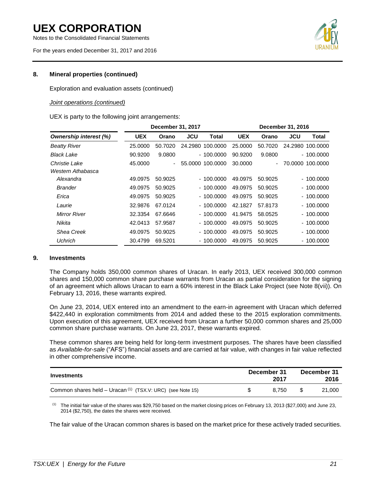Notes to the Consolidated Financial Statements

For the years ended December 31, 2017 and 2016



#### **8. Mineral properties (continued)**

Exploration and evaluation assets (continued)

#### *Joint operations (continued)*

UEX is party to the following joint arrangements:

|                               | December 31, 2017 |                          |            |                  |            | December 31, 2016 |                          |                  |
|-------------------------------|-------------------|--------------------------|------------|------------------|------------|-------------------|--------------------------|------------------|
| <b>Ownership interest (%)</b> | <b>UEX</b>        | Orano                    | <b>JCU</b> | Total            | <b>UEX</b> | Orano             | <b>JCU</b>               | Total            |
| <b>Beatty River</b>           | 25,0000           | 50.7020                  |            | 24.2980 100.0000 | 25.0000    | 50.7020           |                          | 24.2980 100.0000 |
| Black Lake                    | 90.9200           | 9.0800                   |            | $-100.0000$      | 90.9200    | 9.0800            |                          | $-100.0000$      |
| Christie Lake                 | 45,0000           | $\overline{\phantom{0}}$ |            | 55.0000 100.0000 | 30.0000    | $\blacksquare$    |                          | 70.0000 100.0000 |
| Western Athabasca             |                   |                          |            |                  |            |                   |                          |                  |
| Alexandra                     | 49.0975           | 50.9025                  |            | $-100.0000$      | 49.0975    | 50.9025           |                          | $-100.0000$      |
| <b>Brander</b>                | 49.0975           | 50.9025                  |            | $-100.0000$      | 49.0975    | 50.9025           |                          | $-100.0000$      |
| Erica                         | 49.0975           | 50.9025                  |            | $-100.0000$      | 49.0975    | 50.9025           | $\overline{\phantom{0}}$ | 100,0000         |
| Laurie                        | 32,9876           | 67.0124                  |            | $-100.0000$      | 42.1827    | 57.8173           |                          | $-100.0000$      |
| <b>Mirror River</b>           | 32.3354           | 67.6646                  |            | $-100.0000$      | 41.9475    | 58.0525           |                          | $-100.0000$      |
| Nikita                        | 42.0413           | 57.9587                  |            | $-100.0000$      | 49.0975    | 50.9025           |                          | $-100.0000$      |
| <b>Shea Creek</b>             | 49.0975           | 50.9025                  |            | $-100.0000$      | 49.0975    | 50.9025           | $\overline{\phantom{0}}$ | 100.0000         |
| <b>Uchrich</b>                | 30.4799           | 69.5201                  |            | $-100.0000$      | 49.0975    | 50.9025           |                          | $-100.0000$      |

#### **9. Investments**

The Company holds 350,000 common shares of Uracan. In early 2013, UEX received 300,000 common shares and 150,000 common share purchase warrants from Uracan as partial consideration for the signing of an agreement which allows Uracan to earn a 60% interest in the Black Lake Project (see Note 8(vii)). On February 13, 2016, these warrants expired.

On June 23, 2014, UEX entered into an amendment to the earn-in agreement with Uracan which deferred \$422,440 in exploration commitments from 2014 and added these to the 2015 exploration commitments. Upon execution of this agreement, UEX received from Uracan a further 50,000 common shares and 25,000 common share purchase warrants. On June 23, 2017, these warrants expired.

These common shares are being held for long-term investment purposes. The shares have been classified as *Available-for-sale* ("AFS") financial assets and are carried at fair value, with changes in fair value reflected in other comprehensive income.

| Investments                                                           | December 31 | 2017  | December 31 | 2016   |
|-----------------------------------------------------------------------|-------------|-------|-------------|--------|
| Common shares held - Uracan <sup>(1)</sup> (TSX.V: URC) (see Note 15) |             | 8.750 |             | 21.000 |

 $(1)$  The initial fair value of the shares was \$29,750 based on the market closing prices on February 13, 2013 (\$27,000) and June 23, 2014 (\$2,750), the dates the shares were received.

The fair value of the Uracan common shares is based on the market price for these actively traded securities.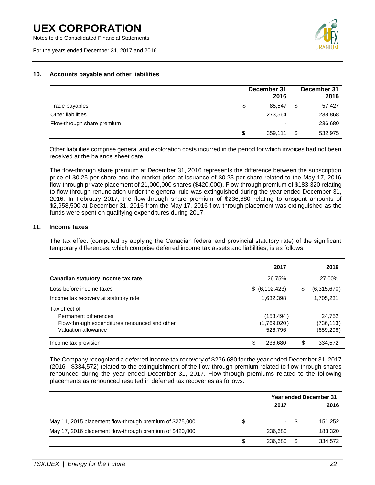Notes to the Consolidated Financial Statements

For the years ended December 31, 2017 and 2016



#### **10. Accounts payable and other liabilities**

|                            | December 31<br>2016 | December 31<br>2016 |
|----------------------------|---------------------|---------------------|
| Trade payables             | \$<br>85.547        | 57,427              |
| Other liabilities          | 273,564             | 238,868             |
| Flow-through share premium | ٠                   | 236,680             |
|                            | \$<br>359,111       | 532,975             |

Other liabilities comprise general and exploration costs incurred in the period for which invoices had not been received at the balance sheet date.

The flow-through share premium at December 31, 2016 represents the difference between the subscription price of \$0.25 per share and the market price at issuance of \$0.23 per share related to the May 17, 2016 flow-through private placement of 21,000,000 shares (\$420,000). Flow-through premium of \$183,320 relating to flow-through renunciation under the general rule was extinguished during the year ended December 31, 2016. In February 2017, the flow-through share premium of \$236,680 relating to unspent amounts of \$2,958,500 at December 31, 2016 from the May 17, 2016 flow-through placement was extinguished as the funds were spent on qualifying expenditures during 2017.

#### **11. Income taxes**

The tax effect (computed by applying the Canadian federal and provincial statutory rate) of the significant temporary differences, which comprise deferred income tax assets and liabilities, is as follows:

|                                                                                                                 | 2017                                | 2016                               |
|-----------------------------------------------------------------------------------------------------------------|-------------------------------------|------------------------------------|
| Canadian statutory income tax rate                                                                              | 26.75%                              | 27.00%                             |
| Loss before income taxes                                                                                        | \$ (6,102,423)                      | \$<br>(6,315,670)                  |
| Income tax recovery at statutory rate                                                                           | 1,632,398                           | 1,705,231                          |
| Tax effect of:<br>Permanent differences<br>Flow-through expenditures renounced and other<br>Valuation allowance | (153,494)<br>(1,769,020)<br>526,796 | 24,752<br>(736, 113)<br>(659, 298) |
| Income tax provision                                                                                            | \$<br>236,680                       | \$<br>334.572                      |

The Company recognized a deferred income tax recovery of \$236,680 for the year ended December 31, 2017 (2016 - \$334,572) related to the extinguishment of the flow-through premium related to flow-through shares renounced during the year ended December 31, 2017. Flow-through premiums related to the following placements as renounced resulted in deferred tax recoveries as follows:

|                                                          | <b>Year ended December 31</b> |    |         |  |
|----------------------------------------------------------|-------------------------------|----|---------|--|
|                                                          | 2017                          |    | 2016    |  |
| May 11, 2015 placement flow-through premium of \$275,000 | \$<br>$\sim$                  | -S | 151,252 |  |
| May 17, 2016 placement flow-through premium of \$420,000 | 236,680                       |    | 183,320 |  |
|                                                          | \$<br>236,680                 |    | 334,572 |  |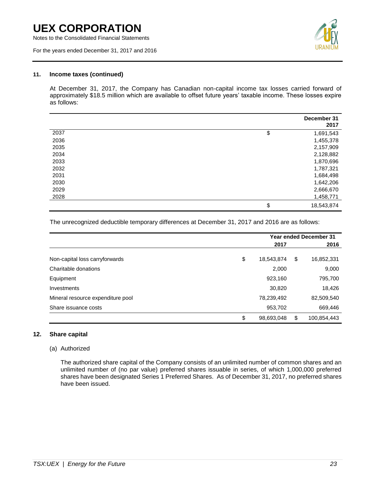Notes to the Consolidated Financial Statements

For the years ended December 31, 2017 and 2016



#### **11. Income taxes (continued)**

At December 31, 2017, the Company has Canadian non-capital income tax losses carried forward of approximately \$18.5 million which are available to offset future years' taxable income. These losses expire as follows:

|      | December 31<br>2017 |
|------|---------------------|
| 2037 | \$<br>1,691,543     |
| 2036 | 1,455,378           |
| 2035 | 2,157,909           |
| 2034 | 2,128,882           |
| 2033 | 1,870,696           |
| 2032 | 1,787,321           |
| 2031 | 1,684,498           |
| 2030 | 1,642,206           |
| 2029 | 2,666,670           |
| 2028 | 1,458,771           |
|      | \$<br>18,543,874    |

The unrecognized deductible temporary differences at December 31, 2017 and 2016 are as follows:

|                                   | <b>Year ended December 31</b> |    |             |  |
|-----------------------------------|-------------------------------|----|-------------|--|
|                                   | 2017                          |    | 2016        |  |
| Non-capital loss carryforwards    | \$<br>18,543,874              | \$ | 16,852,331  |  |
| Charitable donations              | 2,000                         |    | 9,000       |  |
| Equipment                         | 923,160                       |    | 795,700     |  |
| Investments                       | 30,820                        |    | 18,426      |  |
| Mineral resource expenditure pool | 78,239,492                    |    | 82,509,540  |  |
| Share issuance costs              | 953,702                       |    | 669,446     |  |
|                                   | \$<br>98,693,048              | S  | 100,854,443 |  |

#### **12. Share capital**

#### (a) Authorized

The authorized share capital of the Company consists of an unlimited number of common shares and an unlimited number of (no par value) preferred shares issuable in series, of which 1,000,000 preferred shares have been designated Series 1 Preferred Shares. As of December 31, 2017, no preferred shares have been issued.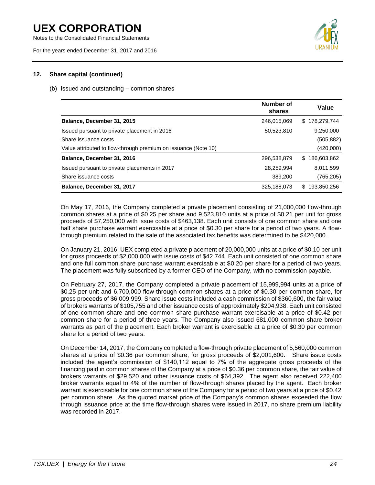Notes to the Consolidated Financial Statements

For the years ended December 31, 2017 and 2016



#### **12. Share capital (continued)**

#### (b) Issued and outstanding – common shares

|                                                                | Number of<br>shares | Value              |
|----------------------------------------------------------------|---------------------|--------------------|
| Balance, December 31, 2015                                     | 246,015,069         | \$178,279,744      |
| Issued pursuant to private placement in 2016                   | 50,523,810          | 9,250,000          |
| Share issuance costs                                           |                     | (505, 882)         |
| Value attributed to flow-through premium on issuance (Note 10) |                     | (420,000)          |
| Balance, December 31, 2016                                     | 296,538,879         | 186.603.862<br>\$. |
| Issued pursuant to private placements in 2017                  | 28.259.994          | 8.011.599          |
| Share issuance costs                                           | 389.200             | (765, 205)         |
| Balance, December 31, 2017                                     | 325,188,073         | 193,850,256<br>\$. |

On May 17, 2016, the Company completed a private placement consisting of 21,000,000 flow-through common shares at a price of \$0.25 per share and 9,523,810 units at a price of \$0.21 per unit for gross proceeds of \$7,250,000 with issue costs of \$463,138. Each unit consists of one common share and one half share purchase warrant exercisable at a price of \$0.30 per share for a period of two years. A flowthrough premium related to the sale of the associated tax benefits was determined to be \$420,000.

On January 21, 2016, UEX completed a private placement of 20,000,000 units at a price of \$0.10 per unit for gross proceeds of \$2,000,000 with issue costs of \$42,744. Each unit consisted of one common share and one full common share purchase warrant exercisable at \$0.20 per share for a period of two years. The placement was fully subscribed by a former CEO of the Company, with no commission payable.

On February 27, 2017, the Company completed a private placement of 15,999,994 units at a price of \$0.25 per unit and 6,700,000 flow-through common shares at a price of \$0.30 per common share, for gross proceeds of \$6,009,999. Share issue costs included a cash commission of \$360,600, the fair value of brokers warrants of \$105,755 and other issuance costs of approximately \$204,938. Each unit consisted of one common share and one common share purchase warrant exercisable at a price of \$0.42 per common share for a period of three years. The Company also issued 681,000 common share broker warrants as part of the placement. Each broker warrant is exercisable at a price of \$0.30 per common share for a period of two years.

On December 14, 2017, the Company completed a flow-through private placement of 5,560,000 common shares at a price of \$0.36 per common share, for gross proceeds of \$2,001,600. Share issue costs included the agent's commission of \$140,112 equal to 7% of the aggregate gross proceeds of the financing paid in common shares of the Company at a price of \$0.36 per common share, the fair value of brokers warrants of \$29,520 and other issuance costs of \$64,392. The agent also received 222,400 broker warrants equal to 4% of the number of flow-through shares placed by the agent. Each broker warrant is exercisable for one common share of the Company for a period of two years at a price of \$0.42 per common share. As the quoted market price of the Company's common shares exceeded the flow through issuance price at the time flow-through shares were issued in 2017, no share premium liability was recorded in 2017.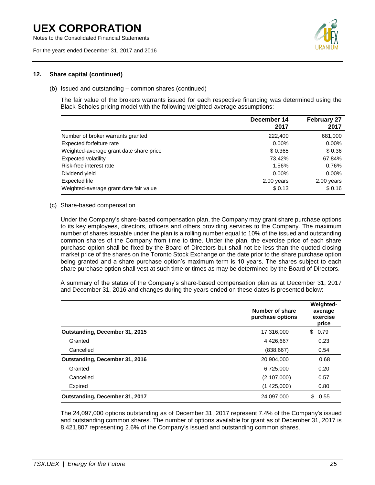Notes to the Consolidated Financial Statements

For the years ended December 31, 2017 and 2016



#### **12. Share capital (continued)**

#### (b) Issued and outstanding – common shares (continued)

The fair value of the brokers warrants issued for each respective financing was determined using the Black-Scholes pricing model with the following weighted-average assumptions:

|                                         | December 14<br>2017 | <b>February 27</b><br>2017 |
|-----------------------------------------|---------------------|----------------------------|
| Number of broker warrants granted       | 222,400             | 681,000                    |
| Expected forfeiture rate                | $0.00\%$            | $0.00\%$                   |
| Weighted-average grant date share price | \$0.365             | \$0.36                     |
| <b>Expected volatility</b>              | 73.42%              | 67.84%                     |
| Risk-free interest rate                 | 1.56%               | 0.76%                      |
| Dividend yield                          | $0.00\%$            | $0.00\%$                   |
| Expected life                           | 2.00 years          | 2.00 years                 |
| Weighted-average grant date fair value  | \$0.13              | \$0.16                     |

#### (c) Share-based compensation

Under the Company's share-based compensation plan, the Company may grant share purchase options to its key employees, directors, officers and others providing services to the Company. The maximum number of shares issuable under the plan is a rolling number equal to 10% of the issued and outstanding common shares of the Company from time to time. Under the plan, the exercise price of each share purchase option shall be fixed by the Board of Directors but shall not be less than the quoted closing market price of the shares on the Toronto Stock Exchange on the date prior to the share purchase option being granted and a share purchase option's maximum term is 10 years. The shares subject to each share purchase option shall vest at such time or times as may be determined by the Board of Directors.

A summary of the status of the Company's share-based compensation plan as at December 31, 2017 and December 31, 2016 and changes during the years ended on these dates is presented below:

|                                | Number of share<br>purchase options | Weighted-<br>average<br>exercise<br>price |  |
|--------------------------------|-------------------------------------|-------------------------------------------|--|
| Outstanding, December 31, 2015 | 17,316,000                          | 0.79<br>\$                                |  |
| Granted                        | 4,426,667                           | 0.23                                      |  |
| Cancelled                      | (838, 667)                          | 0.54                                      |  |
| Outstanding, December 31, 2016 | 20,904,000                          | 0.68                                      |  |
| Granted                        | 6,725,000                           | 0.20                                      |  |
| Cancelled                      | (2, 107, 000)                       | 0.57                                      |  |
| Expired                        | (1,425,000)                         | 0.80                                      |  |
| Outstanding, December 31, 2017 | 24,097,000                          | \$<br>0.55                                |  |

The 24,097,000 options outstanding as of December 31, 2017 represent 7.4% of the Company's issued and outstanding common shares. The number of options available for grant as of December 31, 2017 is 8,421,807 representing 2.6% of the Company's issued and outstanding common shares.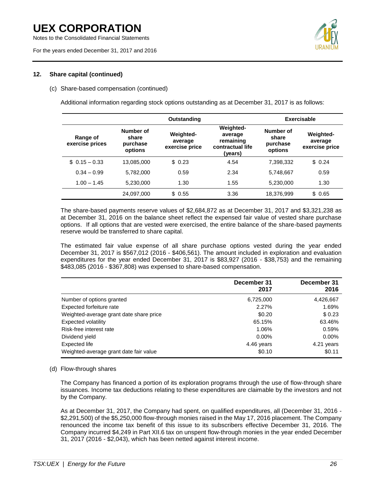Notes to the Consolidated Financial Statements

For the years ended December 31, 2017 and 2016



#### **12. Share capital (continued)**

#### (c) Share-based compensation (continued)

Additional information regarding stock options outstanding as at December 31, 2017 is as follows:

|                             | Outstanding                               |                                               |                                                                         |                                           | Exercisable                                   |
|-----------------------------|-------------------------------------------|-----------------------------------------------|-------------------------------------------------------------------------|-------------------------------------------|-----------------------------------------------|
| Range of<br>exercise prices | Number of<br>share<br>purchase<br>options | <b>Weighted-</b><br>average<br>exercise price | <b>Weighted-</b><br>average<br>remaining<br>contractual life<br>(years) | Number of<br>share<br>purchase<br>options | <b>Weighted-</b><br>average<br>exercise price |
| $$0.15 - 0.33$              | 13,085,000                                | \$0.23                                        | 4.54                                                                    | 7,398,332                                 | \$0.24                                        |
| $0.34 - 0.99$               | 5,782,000                                 | 0.59                                          | 2.34                                                                    | 5,748,667                                 | 0.59                                          |
| $1.00 - 1.45$               | 5,230,000                                 | 1.30                                          | 1.55                                                                    | 5,230,000                                 | 1.30                                          |
|                             | 24,097,000                                | \$0.55                                        | 3.36                                                                    | 18,376,999                                | \$ 0.65                                       |

The share-based payments reserve values of \$2,684,872 as at December 31, 2017 and \$3,321,238 as at December 31, 2016 on the balance sheet reflect the expensed fair value of vested share purchase options. If all options that are vested were exercised, the entire balance of the share-based payments reserve would be transferred to share capital.

The estimated fair value expense of all share purchase options vested during the year ended December 31, 2017 is \$567,012 (2016 - \$406,561). The amount included in exploration and evaluation expenditures for the year ended December 31, 2017 is \$83,927 (2016 - \$38,753) and the remaining \$483,085 (2016 - \$367,808) was expensed to share-based compensation.

|                                         | December 31<br>2017 | December 31<br>2016 |
|-----------------------------------------|---------------------|---------------------|
| Number of options granted               | 6,725,000           | 4,426,667           |
| Expected forfeiture rate                | 2.27%               | 1.69%               |
| Weighted-average grant date share price | \$0.20              | \$0.23              |
| Expected volatility                     | 65.15%              | 63.46%              |
| Risk-free interest rate                 | 1.06%               | 0.59%               |
| Dividend yield                          | $0.00\%$            | $0.00\%$            |
| Expected life                           | 4.46 years          | 4.21 years          |
| Weighted-average grant date fair value  | \$0.10              | \$0.11              |

#### (d) Flow-through shares

The Company has financed a portion of its exploration programs through the use of flow-through share issuances. Income tax deductions relating to these expenditures are claimable by the investors and not by the Company.

As at December 31, 2017, the Company had spent, on qualified expenditures, all (December 31, 2016 - \$2,291,500) of the \$5,250,000 flow-through monies raised in the May 17, 2016 placement. The Company renounced the income tax benefit of this issue to its subscribers effective December 31, 2016. The Company incurred \$4,249 in Part XII.6 tax on unspent flow-through monies in the year ended December 31, 2017 (2016 - \$2,043), which has been netted against interest income.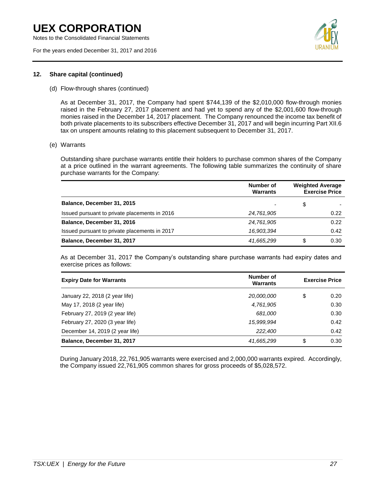Notes to the Consolidated Financial Statements

For the years ended December 31, 2017 and 2016



#### **12. Share capital (continued)**

(d) Flow-through shares (continued)

As at December 31, 2017, the Company had spent \$744,139 of the \$2,010,000 flow-through monies raised in the February 27, 2017 placement and had yet to spend any of the \$2,001,600 flow-through monies raised in the December 14, 2017 placement. The Company renounced the income tax benefit of both private placements to its subscribers effective December 31, 2017 and will begin incurring Part XII.6 tax on unspent amounts relating to this placement subsequent to December 31, 2017.

(e) Warrants

Outstanding share purchase warrants entitle their holders to purchase common shares of the Company at a price outlined in the warrant agreements. The following table summarizes the continuity of share purchase warrants for the Company:

|                                               | Number of<br><b>Warrants</b> | <b>Weighted Average</b><br><b>Exercise Price</b> |      |  |
|-----------------------------------------------|------------------------------|--------------------------------------------------|------|--|
| Balance, December 31, 2015                    | $\overline{\phantom{0}}$     | \$                                               |      |  |
| Issued pursuant to private placements in 2016 | 24,761,905                   |                                                  | 0.22 |  |
| Balance, December 31, 2016                    | 24,761,905                   |                                                  | 0.22 |  |
| Issued pursuant to private placements in 2017 | 16,903,394                   |                                                  | 0.42 |  |
| Balance, December 31, 2017                    | 41,665,299                   | \$                                               | 0.30 |  |

As at December 31, 2017 the Company's outstanding share purchase warrants had expiry dates and exercise prices as follows:

| <b>Expiry Date for Warrants</b> | Number of<br><b>Warrants</b> | <b>Exercise Price</b> |
|---------------------------------|------------------------------|-----------------------|
| January 22, 2018 (2 year life)  | 20,000,000                   | \$<br>0.20            |
| May 17, 2018 (2 year life)      | 4,761,905                    | 0.30                  |
| February 27, 2019 (2 year life) | 681,000                      | 0.30                  |
| February 27, 2020 (3 year life) | 15,999,994                   | 0.42                  |
| December 14, 2019 (2 year life) | 222,400                      | 0.42                  |
| Balance, December 31, 2017      | 41,665,299                   | \$<br>0.30            |

During January 2018, 22,761,905 warrants were exercised and 2,000,000 warrants expired. Accordingly, the Company issued 22,761,905 common shares for gross proceeds of \$5,028,572.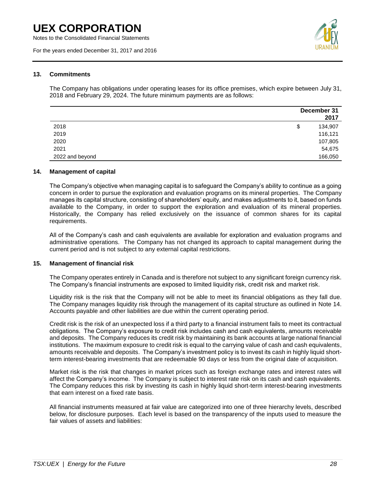Notes to the Consolidated Financial Statements

For the years ended December 31, 2017 and 2016



#### **13. Commitments**

The Company has obligations under operating leases for its office premises, which expire between July 31, 2018 and February 29, 2024. The future minimum payments are as follows:

|                 | December 31<br>2017 |
|-----------------|---------------------|
| 2018            | \$<br>134,907       |
| 2019            | 116,121             |
| 2020            | 107,805             |
| 2021            | 54,675              |
| 2022 and beyond | 166,050             |

#### **14. Management of capital**

The Company's objective when managing capital is to safeguard the Company's ability to continue as a going concern in order to pursue the exploration and evaluation programs on its mineral properties. The Company manages its capital structure, consisting of shareholders' equity, and makes adjustments to it, based on funds available to the Company, in order to support the exploration and evaluation of its mineral properties. Historically, the Company has relied exclusively on the issuance of common shares for its capital requirements.

All of the Company's cash and cash equivalents are available for exploration and evaluation programs and administrative operations. The Company has not changed its approach to capital management during the current period and is not subject to any external capital restrictions.

#### **15. Management of financial risk**

The Company operates entirely in Canada and is therefore not subject to any significant foreign currency risk. The Company's financial instruments are exposed to limited liquidity risk, credit risk and market risk.

Liquidity risk is the risk that the Company will not be able to meet its financial obligations as they fall due. The Company manages liquidity risk through the management of its capital structure as outlined in Note 14. Accounts payable and other liabilities are due within the current operating period.

Credit risk is the risk of an unexpected loss if a third party to a financial instrument fails to meet its contractual obligations. The Company's exposure to credit risk includes cash and cash equivalents, amounts receivable and deposits. The Company reduces its credit risk by maintaining its bank accounts at large national financial institutions. The maximum exposure to credit risk is equal to the carrying value of cash and cash equivalents, amounts receivable and deposits. The Company's investment policy is to invest its cash in highly liquid shortterm interest-bearing investments that are redeemable 90 days or less from the original date of acquisition.

Market risk is the risk that changes in market prices such as foreign exchange rates and interest rates will affect the Company's income. The Company is subject to interest rate risk on its cash and cash equivalents. The Company reduces this risk by investing its cash in highly liquid short-term interest-bearing investments that earn interest on a fixed rate basis.

All financial instruments measured at fair value are categorized into one of three hierarchy levels, described below, for disclosure purposes. Each level is based on the transparency of the inputs used to measure the fair values of assets and liabilities: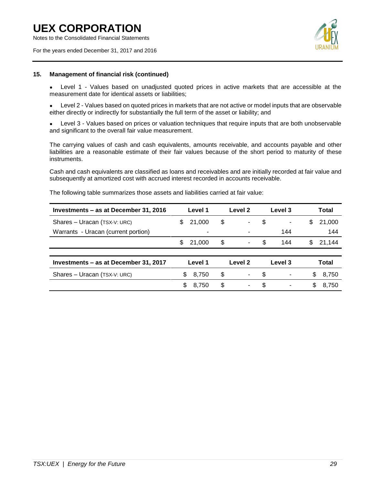Notes to the Consolidated Financial Statements

For the years ended December 31, 2017 and 2016



#### **15. Management of financial risk (continued)**

Level 1 - Values based on unadjusted quoted prices in active markets that are accessible at the measurement date for identical assets or liabilities;

Level 2 - Values based on quoted prices in markets that are not active or model inputs that are observable either directly or indirectly for substantially the full term of the asset or liability; and

Level 3 - Values based on prices or valuation techniques that require inputs that are both unobservable and significant to the overall fair value measurement.

The carrying values of cash and cash equivalents, amounts receivable, and accounts payable and other liabilities are a reasonable estimate of their fair values because of the short period to maturity of these instruments.

Cash and cash equivalents are classified as loans and receivables and are initially recorded at fair value and subsequently at amortized cost with accrued interest recorded in accounts receivable.

|                                                  | Level 1                  |          |   |                    | Level 3                  |   | Total        |
|--------------------------------------------------|--------------------------|----------|---|--------------------|--------------------------|---|--------------|
| S                                                | 21,000                   | \$       |   | \$                 | -                        | S | 21,000       |
|                                                  | $\overline{\phantom{a}}$ |          |   |                    | 144                      |   | 144          |
| \$.                                              | 21,000                   | \$       |   | \$                 | 144                      | S | 21,144       |
|                                                  |                          |          |   |                    |                          |   |              |
| Investments – as at December 31, 2017<br>Level 1 |                          |          |   |                    | Level 3                  |   | <b>Total</b> |
|                                                  | 8,750                    | \$       |   | \$                 | $\overline{\phantom{a}}$ |   | 8,750        |
|                                                  | 8,750                    | \$       | ۰ | \$                 | $\overline{\phantom{a}}$ | S | 8,750        |
|                                                  |                          | \$.<br>S |   | Level 2<br>Level 2 |                          |   | \$           |

The following table summarizes those assets and liabilities carried at fair value: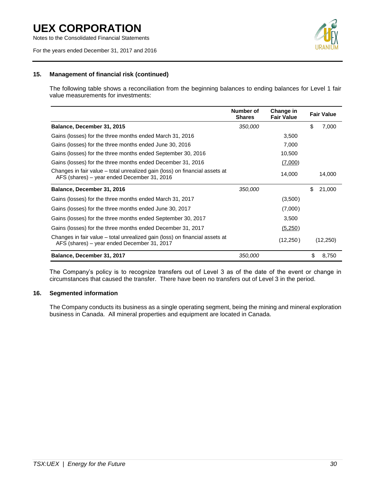Notes to the Consolidated Financial Statements

For the years ended December 31, 2017 and 2016



#### **15. Management of financial risk (continued)**

The following table shows a reconciliation from the beginning balances to ending balances for Level 1 fair value measurements for investments:

|                                                                                                                            | Number of<br><b>Shares</b> | Change in<br><b>Fair Value</b> | <b>Fair Value</b> |
|----------------------------------------------------------------------------------------------------------------------------|----------------------------|--------------------------------|-------------------|
| Balance, December 31, 2015                                                                                                 | 350,000                    |                                | \$<br>7,000       |
| Gains (losses) for the three months ended March 31, 2016                                                                   |                            | 3,500                          |                   |
| Gains (losses) for the three months ended June 30, 2016                                                                    |                            | 7,000                          |                   |
| Gains (losses) for the three months ended September 30, 2016                                                               |                            | 10,500                         |                   |
| Gains (losses) for the three months ended December 31, 2016                                                                |                            | (7,000)                        |                   |
| Changes in fair value – total unrealized gain (loss) on financial assets at<br>AFS (shares) – year ended December 31, 2016 |                            | 14,000                         | 14,000            |
| Balance, December 31, 2016                                                                                                 | 350,000                    |                                | \$<br>21,000      |
| Gains (losses) for the three months ended March 31, 2017                                                                   |                            | (3,500)                        |                   |
| Gains (losses) for the three months ended June 30, 2017                                                                    |                            | (7,000)                        |                   |
| Gains (losses) for the three months ended September 30, 2017                                                               |                            | 3,500                          |                   |
| Gains (losses) for the three months ended December 31, 2017                                                                |                            | (5,250)                        |                   |
| Changes in fair value – total unrealized gain (loss) on financial assets at<br>AFS (shares) – year ended December 31, 2017 |                            | (12,250)                       | (12,250)          |
| Balance, December 31, 2017                                                                                                 | 350,000                    |                                | \$<br>8,750       |

The Company's policy is to recognize transfers out of Level 3 as of the date of the event or change in circumstances that caused the transfer. There have been no transfers out of Level 3 in the period.

#### **16. Segmented information**

The Company conducts its business as a single operating segment, being the mining and mineral exploration business in Canada. All mineral properties and equipment are located in Canada.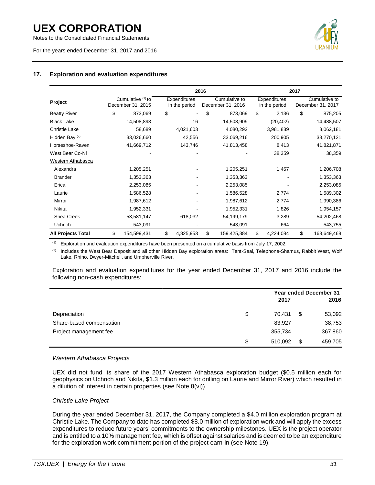Notes to the Consolidated Financial Statements

For the years ended December 31, 2017 and 2016



#### **17. Exploration and evaluation expenditures**

|                           |                                        | 2016 |                               |                                    |             |                               | 2017                               |             |
|---------------------------|----------------------------------------|------|-------------------------------|------------------------------------|-------------|-------------------------------|------------------------------------|-------------|
| Project                   | Cumulative (1) to<br>December 31, 2015 |      | Expenditures<br>in the period | Cumulative to<br>December 31, 2016 |             | Expenditures<br>in the period | Cumulative to<br>December 31, 2017 |             |
| <b>Beatty River</b>       | \$<br>873,069                          | \$   |                               | \$                                 | 873,069     | \$<br>2,136                   | \$                                 | 875,205     |
| <b>Black Lake</b>         | 14,508,893                             |      | 16                            |                                    | 14,508,909  | (20, 402)                     |                                    | 14,488,507  |
| <b>Christie Lake</b>      | 58,689                                 |      | 4,021,603                     |                                    | 4,080,292   | 3,981,889                     |                                    | 8,062,181   |
| Hidden Bay <sup>(2)</sup> | 33,026,660                             |      | 42,556                        |                                    | 33,069,216  | 200,905                       |                                    | 33,270,121  |
| Horseshoe-Raven           | 41,669,712                             |      | 143,746                       |                                    | 41,813,458  | 8,413                         |                                    | 41,821,871  |
| West Bear Co-Ni           |                                        |      |                               |                                    |             | 38,359                        |                                    | 38,359      |
| Western Athabasca         |                                        |      |                               |                                    |             |                               |                                    |             |
| Alexandra                 | 1,205,251                              |      |                               |                                    | 1,205,251   | 1,457                         |                                    | 1,206,708   |
| <b>Brander</b>            | 1,353,363                              |      |                               |                                    | 1,353,363   |                               |                                    | 1,353,363   |
| Erica                     | 2,253,085                              |      |                               |                                    | 2,253,085   |                               |                                    | 2,253,085   |
| Laurie                    | 1,586,528                              |      |                               |                                    | 1,586,528   | 2,774                         |                                    | 1,589,302   |
| Mirror                    | 1,987,612                              |      |                               |                                    | 1,987,612   | 2,774                         |                                    | 1,990,386   |
| <b>Nikita</b>             | 1,952,331                              |      |                               |                                    | 1,952,331   | 1,826                         |                                    | 1,954,157   |
| Shea Creek                | 53,581,147                             |      | 618,032                       |                                    | 54,199,179  | 3,289                         |                                    | 54,202,468  |
| Uchrich                   | 543,091                                |      |                               |                                    | 543,091     | 664                           |                                    | 543,755     |
| <b>All Projects Total</b> | \$<br>154,599,431                      | \$   | 4,825,953                     | \$                                 | 159,425,384 | \$<br>4,224,084               | \$                                 | 163,649,468 |

 $<sup>(1)</sup>$  Exploration and evaluation expenditures have been presented on a cumulative basis from July 17, 2002.</sup>

<sup>(2)</sup> Includes the West Bear Deposit and all other Hidden Bay exploration areas: Tent-Seal, Telephone-Shamus, Rabbit West, Wolf Lake, Rhino, Dwyer-Mitchell, and Umpherville River.

Exploration and evaluation expenditures for the year ended December 31, 2017 and 2016 include the following non-cash expenditures:

|                          | <b>Year ended December 31</b> |    |         |  |
|--------------------------|-------------------------------|----|---------|--|
|                          | 2017                          |    | 2016    |  |
| Depreciation             | \$<br>70.431                  | \$ | 53,092  |  |
| Share-based compensation | 83.927                        |    | 38,753  |  |
| Project management fee   | 355,734                       |    | 367,860 |  |
|                          | \$<br>510.092                 | \$ | 459,705 |  |

#### *Western Athabasca Projects*

UEX did not fund its share of the 2017 Western Athabasca exploration budget (\$0.5 million each for geophysics on Uchrich and Nikita, \$1.3 million each for drilling on Laurie and Mirror River) which resulted in a dilution of interest in certain properties (see Note 8(vi)).

#### *Christie Lake Project*

During the year ended December 31, 2017, the Company completed a \$4.0 million exploration program at Christie Lake. The Company to date has completed \$8.0 million of exploration work and will apply the excess expenditures to reduce future years' commitments to the ownership milestones. UEX is the project operator and is entitled to a 10% management fee, which is offset against salaries and is deemed to be an expenditure for the exploration work commitment portion of the project earn-in (see Note 19).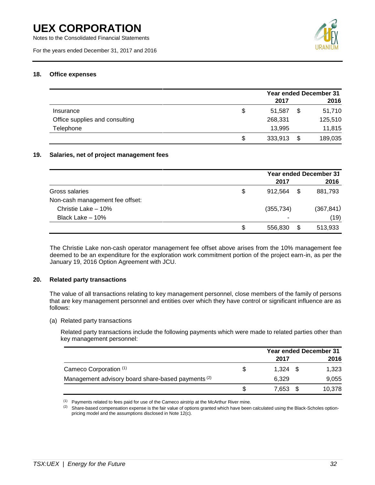Notes to the Consolidated Financial Statements

For the years ended December 31, 2017 and 2016



#### **18. Office expenses**

|                                |    | <b>Year ended December 31</b> |    |         |  |
|--------------------------------|----|-------------------------------|----|---------|--|
|                                |    | 2017                          |    | 2016    |  |
| Insurance                      | \$ | 51.587                        | \$ | 51,710  |  |
| Office supplies and consulting |    | 268,331                       |    | 125,510 |  |
| Telephone                      |    | 13,995                        |    | 11,815  |  |
|                                | S  | 333,913                       |    | 189,035 |  |

#### **19. Salaries, net of project management fees**

|                                 | <b>Year ended December 31</b> |      |            |  |
|---------------------------------|-------------------------------|------|------------|--|
|                                 | 2017                          |      | 2016       |  |
| Gross salaries                  | \$<br>912.564                 | - \$ | 881,793    |  |
| Non-cash management fee offset: |                               |      |            |  |
| Christie Lake - 10%             | (355, 734)                    |      | (367, 841) |  |
| Black Lake - 10%                | ٠                             |      | (19)       |  |
|                                 | \$<br>556,830                 | \$   | 513,933    |  |

The Christie Lake non-cash operator management fee offset above arises from the 10% management fee deemed to be an expenditure for the exploration work commitment portion of the project earn-in, as per the January 19, 2016 Option Agreement with JCU.

#### **20. Related party transactions**

The value of all transactions relating to key management personnel, close members of the family of persons that are key management personnel and entities over which they have control or significant influence are as follows:

(a) Related party transactions

Related party transactions include the following payments which were made to related parties other than key management personnel:

|                                                               |    |       | <b>Year ended December 31</b> |
|---------------------------------------------------------------|----|-------|-------------------------------|
|                                                               |    | 2017  | 2016                          |
| Cameco Corporation (1)                                        | \$ | 1.324 | 1.323                         |
| Management advisory board share-based payments <sup>(2)</sup> |    | 6.329 | 9,055                         |
|                                                               | S  | 7.653 | 10,378                        |

 $(1)$  Payments related to fees paid for use of the Cameco airstrip at the McArthur River mine.

 $(2)$  Share-based compensation expense is the fair value of options granted which have been calculated using the Black-Scholes optionpricing model and the assumptions disclosed in Note 12(c).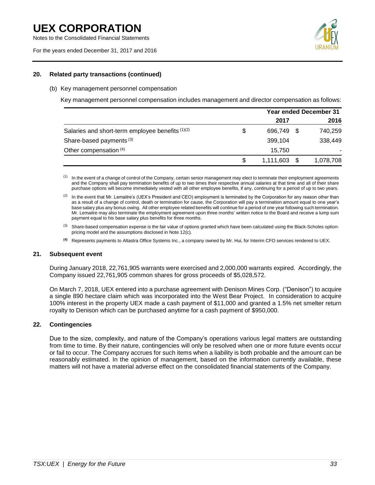Notes to the Consolidated Financial Statements

For the years ended December 31, 2017 and 2016



#### **20. Related party transactions (continued)**

#### (b) Key management personnel compensation

Key management personnel compensation includes management and director compensation as follows:

|                                                  |    | <b>Year ended December 31</b> |    |           |
|--------------------------------------------------|----|-------------------------------|----|-----------|
|                                                  |    | 2017                          |    | 2016      |
| Salaries and short-term employee benefits (1)(2) | \$ | 696.749                       | -S | 740,259   |
| Share-based payments <sup>(3)</sup>              |    | 399,104                       |    | 338,449   |
| Other compensation (4)                           |    | 15.750                        |    |           |
|                                                  | S  | 1,111,603                     |    | 1,078,708 |

- <sup>(1)</sup> In the event of a change of control of the Company, certain senior management may elect to terminate their employment agreements and the Company shall pay termination benefits of up to two times their respective annual salaries at that time and all of their share purchase options will become immediately vested with all other employee benefits, if any, continuing for a period of up to two years.
- <sup>(2)</sup> In the event that Mr. Lemaitre's (UEX's President and CEO) employment is terminated by the Corporation for any reason other than as a result of a change of control, death or termination for cause, the Corporation will pay a termination amount equal to one year's base salary plus any bonus owing. All other employee related benefits will continue for a period of one year following such termination. Mr. Lemaitre may also terminate the employment agreement upon three months' written notice to the Board and receive a lump sum payment equal to his base salary plus benefits for three months.
- <sup>(3)</sup> Share-based compensation expense is the fair value of options granted which have been calculated using the Black-Scholes optionpricing model and the assumptions disclosed in Note 12(c).
- **(4)** Represents payments to Altastra Office Systems Inc., a company owned by Mr. Hui, for Interim CFO services rendered to UEX.

#### **21. Subsequent event**

During January 2018, 22,761,905 warrants were exercised and 2,000,000 warrants expired. Accordingly, the Company issued 22,761,905 common shares for gross proceeds of \$5,028,572.

On March 7, 2018, UEX entered into a purchase agreement with Denison Mines Corp. ("Denison") to acquire a single 890 hectare claim which was incorporated into the West Bear Project. In consideration to acquire 100% interest in the property UEX made a cash payment of \$11,000 and granted a 1.5% net smelter return royalty to Denison which can be purchased anytime for a cash payment of \$950,000.

#### **22. Contingencies**

Due to the size, complexity, and nature of the Company's operations various legal matters are outstanding from time to time. By their nature, contingencies will only be resolved when one or more future events occur or fail to occur. The Company accrues for such items when a liability is both probable and the amount can be reasonably estimated. In the opinion of management, based on the information currently available, these matters will not have a material adverse effect on the consolidated financial statements of the Company.